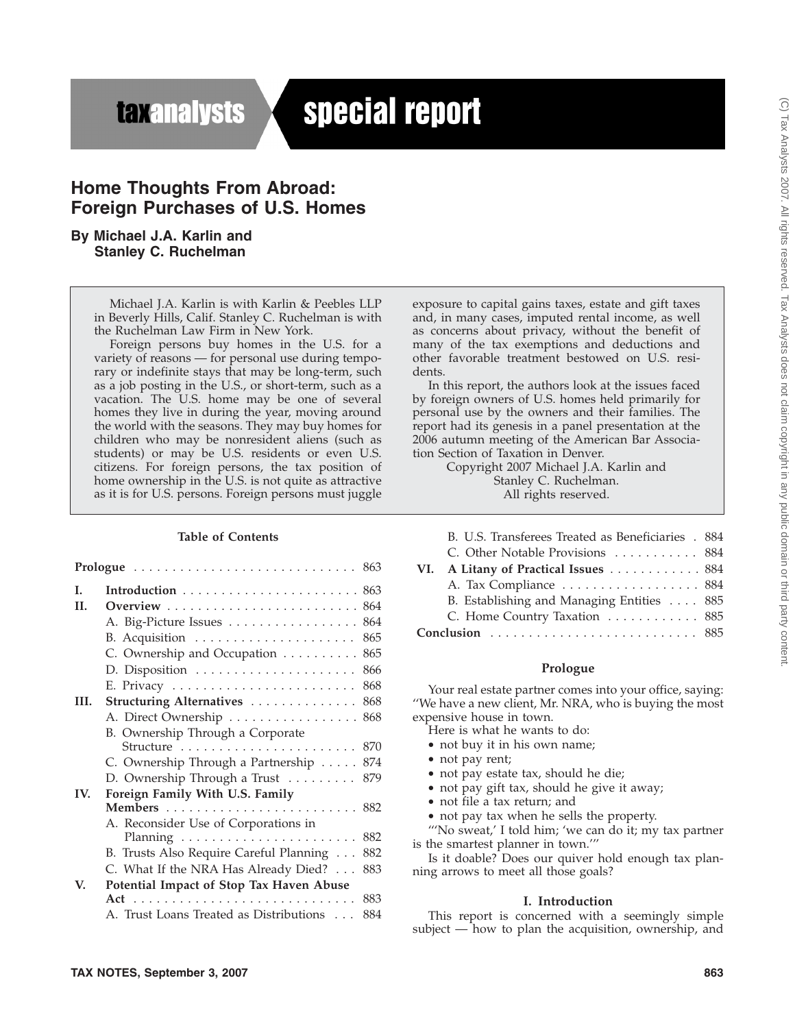## **taxanalysts**

# special report

## **Home Thoughts From Abroad: Foreign Purchases of U.S. Homes**

## **By Michael J.A. Karlin and Stanley C. Ruchelman**

Michael J.A. Karlin is with Karlin & Peebles LLP in Beverly Hills, Calif. Stanley C. Ruchelman is with the Ruchelman Law Firm in New York.

Foreign persons buy homes in the U.S. for a variety of reasons — for personal use during temporary or indefinite stays that may be long-term, such as a job posting in the U.S., or short-term, such as a vacation. The U.S. home may be one of several homes they live in during the year, moving around the world with the seasons. They may buy homes for children who may be nonresident aliens (such as students) or may be U.S. residents or even U.S. citizens. For foreign persons, the tax position of home ownership in the U.S. is not quite as attractive as it is for U.S. persons. Foreign persons must juggle

#### **Table of Contents**

| L   | Introduction $\ldots \ldots \ldots \ldots \ldots \ldots \ldots \ldots 863$ |     |  |  |
|-----|----------------------------------------------------------------------------|-----|--|--|
| H.  |                                                                            |     |  |  |
|     | A. Big-Picture Issues 864                                                  |     |  |  |
|     | B. Acquisition $\ldots \ldots \ldots \ldots \ldots \ldots$                 | 865 |  |  |
|     | C. Ownership and Occupation 865                                            |     |  |  |
|     | D. Disposition                                                             | 866 |  |  |
|     |                                                                            | 868 |  |  |
| HL. | Structuring Alternatives                                                   | 868 |  |  |
|     | A. Direct Ownership 868                                                    |     |  |  |
|     | B. Ownership Through a Corporate                                           |     |  |  |
|     | Structure  870                                                             |     |  |  |
|     | C. Ownership Through a Partnership                                         | 874 |  |  |
|     | D. Ownership Through a Trust 879                                           |     |  |  |
| IV. | Foreign Family With U.S. Family                                            |     |  |  |
|     |                                                                            |     |  |  |
|     | A. Reconsider Use of Corporations in                                       |     |  |  |
|     |                                                                            | 882 |  |  |
|     | B. Trusts Also Require Careful Planning                                    | 882 |  |  |
|     | C. What If the NRA Has Already Died?                                       | 883 |  |  |
| V.  | Potential Impact of Stop Tax Haven Abuse                                   |     |  |  |
|     |                                                                            | 883 |  |  |
|     | A. Trust Loans Treated as Distributions                                    | 884 |  |  |

exposure to capital gains taxes, estate and gift taxes and, in many cases, imputed rental income, as well as concerns about privacy, without the benefit of many of the tax exemptions and deductions and other favorable treatment bestowed on U.S. residents.

In this report, the authors look at the issues faced by foreign owners of U.S. homes held primarily for personal use by the owners and their families. The report had its genesis in a panel presentation at the 2006 autumn meeting of the American Bar Association Section of Taxation in Denver.

Copyright 2007 Michael J.A. Karlin and Stanley C. Ruchelman. All rights reserved.

|  | B. U.S. Transferees Treated as Beneficiaries . 884 |  |  |  |
|--|----------------------------------------------------|--|--|--|
|  | C. Other Notable Provisions  884                   |  |  |  |
|  | VI. A Litany of Practical Issues 884               |  |  |  |
|  | A. Tax Compliance  884                             |  |  |  |
|  | B. Establishing and Managing Entities 885          |  |  |  |
|  | C. Home Country Taxation 885                       |  |  |  |
|  |                                                    |  |  |  |
|  |                                                    |  |  |  |

#### **Prologue**

Your real estate partner comes into your office, saying: ''We have a new client, Mr. NRA, who is buying the most expensive house in town.

- Here is what he wants to do:
- not buy it in his own name;
- not pay rent;
- not pay estate tax, should he die;
- not pay gift tax, should he give it away;
- not file a tax return; and
- not pay tax when he sells the property.

'''No sweat,' I told him; 'we can do it; my tax partner is the smartest planner in town.'''

Is it doable? Does our quiver hold enough tax planning arrows to meet all those goals?

#### **I. Introduction**

This report is concerned with a seemingly simple subject — how to plan the acquisition, ownership, and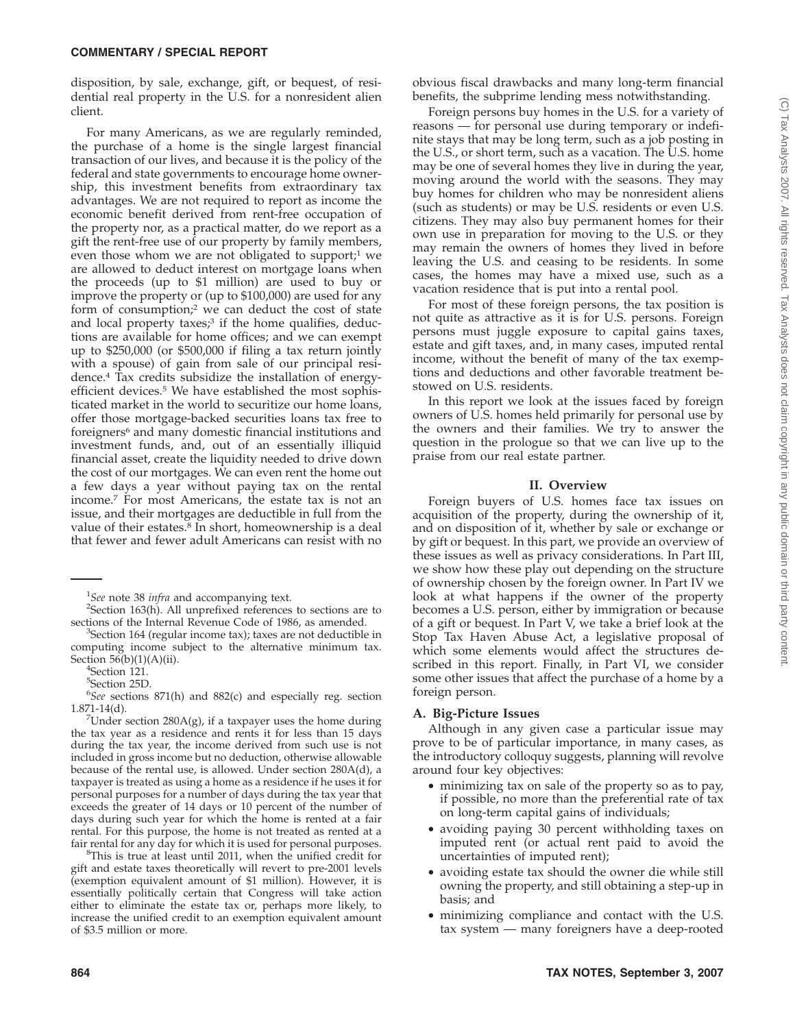disposition, by sale, exchange, gift, or bequest, of residential real property in the U.S. for a nonresident alien client.

For many Americans, as we are regularly reminded, the purchase of a home is the single largest financial transaction of our lives, and because it is the policy of the federal and state governments to encourage home ownership, this investment benefits from extraordinary tax advantages. We are not required to report as income the economic benefit derived from rent-free occupation of the property nor, as a practical matter, do we report as a gift the rent-free use of our property by family members, even those whom we are not obligated to support;<sup>1</sup> we are allowed to deduct interest on mortgage loans when the proceeds (up to \$1 million) are used to buy or improve the property or (up to \$100,000) are used for any form of consumption;2 we can deduct the cost of state and local property taxes;<sup>3</sup> if the home qualifies, deductions are available for home offices; and we can exempt up to \$250,000 (or \$500,000 if filing a tax return jointly with a spouse) of gain from sale of our principal residence.4 Tax credits subsidize the installation of energyefficient devices.<sup>5</sup> We have established the most sophisticated market in the world to securitize our home loans, offer those mortgage-backed securities loans tax free to foreigners<sup>6</sup> and many domestic financial institutions and investment funds, and, out of an essentially illiquid financial asset, create the liquidity needed to drive down the cost of our mortgages. We can even rent the home out a few days a year without paying tax on the rental income.7 For most Americans, the estate tax is not an issue, and their mortgages are deductible in full from the value of their estates.<sup>8</sup> In short, homeownership is a deal that fewer and fewer adult Americans can resist with no

obvious fiscal drawbacks and many long-term financial benefits, the subprime lending mess notwithstanding.

Foreign persons buy homes in the U.S. for a variety of reasons — for personal use during temporary or indefinite stays that may be long term, such as a job posting in the U.S., or short term, such as a vacation. The U.S. home may be one of several homes they live in during the year, moving around the world with the seasons. They may buy homes for children who may be nonresident aliens (such as students) or may be U.S. residents or even U.S. citizens. They may also buy permanent homes for their own use in preparation for moving to the U.S. or they may remain the owners of homes they lived in before leaving the U.S. and ceasing to be residents. In some cases, the homes may have a mixed use, such as a vacation residence that is put into a rental pool.

For most of these foreign persons, the tax position is not quite as attractive as it is for U.S. persons. Foreign persons must juggle exposure to capital gains taxes, estate and gift taxes, and, in many cases, imputed rental income, without the benefit of many of the tax exemptions and deductions and other favorable treatment bestowed on U.S. residents.

In this report we look at the issues faced by foreign owners of U.S. homes held primarily for personal use by the owners and their families. We try to answer the question in the prologue so that we can live up to the praise from our real estate partner.

#### **II. Overview**

Foreign buyers of U.S. homes face tax issues on acquisition of the property, during the ownership of it, and on disposition of it, whether by sale or exchange or by gift or bequest. In this part, we provide an overview of these issues as well as privacy considerations. In Part III, we show how these play out depending on the structure of ownership chosen by the foreign owner. In Part IV we look at what happens if the owner of the property becomes a U.S. person, either by immigration or because of a gift or bequest. In Part V, we take a brief look at the Stop Tax Haven Abuse Act, a legislative proposal of which some elements would affect the structures described in this report. Finally, in Part VI, we consider some other issues that affect the purchase of a home by a foreign person.

## **A. Big-Picture Issues**

Although in any given case a particular issue may prove to be of particular importance, in many cases, as the introductory colloquy suggests, planning will revolve around four key objectives:

- minimizing tax on sale of the property so as to pay, if possible, no more than the preferential rate of tax on long-term capital gains of individuals;
- avoiding paying 30 percent withholding taxes on imputed rent (or actual rent paid to avoid the uncertainties of imputed rent);
- avoiding estate tax should the owner die while still owning the property, and still obtaining a step-up in basis; and
- minimizing compliance and contact with the U.S. tax system — many foreigners have a deep-rooted

<sup>&</sup>lt;sup>1</sup>See note 38 *infra* and accompanying text.<br><sup>2</sup>Section 163(b), All unprefixed references

 ${}^{2}$ Section 163(h). All unprefixed references to sections are to sections of the Internal Revenue Code of 1986, as amended.

 ${}^{3}$ Section 164 (regular income tax); taxes are not deductible in computing income subject to the alternative minimum tax. Section  $56(b)(1)(A)(ii)$ .

<sup>&</sup>lt;sup>4</sup>Section 121.

<sup>5</sup> Section 25D.

<sup>6</sup> *See* sections 871(h) and 882(c) and especially reg. section  $1.871 - 14(d)$ .

<sup>&</sup>lt;sup>7</sup>Under section 280A(g), if a taxpayer uses the home during the tax year as a residence and rents it for less than 15 days during the tax year, the income derived from such use is not included in gross income but no deduction, otherwise allowable because of the rental use, is allowed. Under section 280A(d), a taxpayer is treated as using a home as a residence if he uses it for personal purposes for a number of days during the tax year that exceeds the greater of 14 days or 10 percent of the number of days during such year for which the home is rented at a fair rental. For this purpose, the home is not treated as rented at a fair rental for any day for which it is used for personal purposes.

This is true at least until 2011, when the unified credit for gift and estate taxes theoretically will revert to pre-2001 levels (exemption equivalent amount of \$1 million). However, it is essentially politically certain that Congress will take action either to eliminate the estate tax or, perhaps more likely, to increase the unified credit to an exemption equivalent amount of \$3.5 million or more.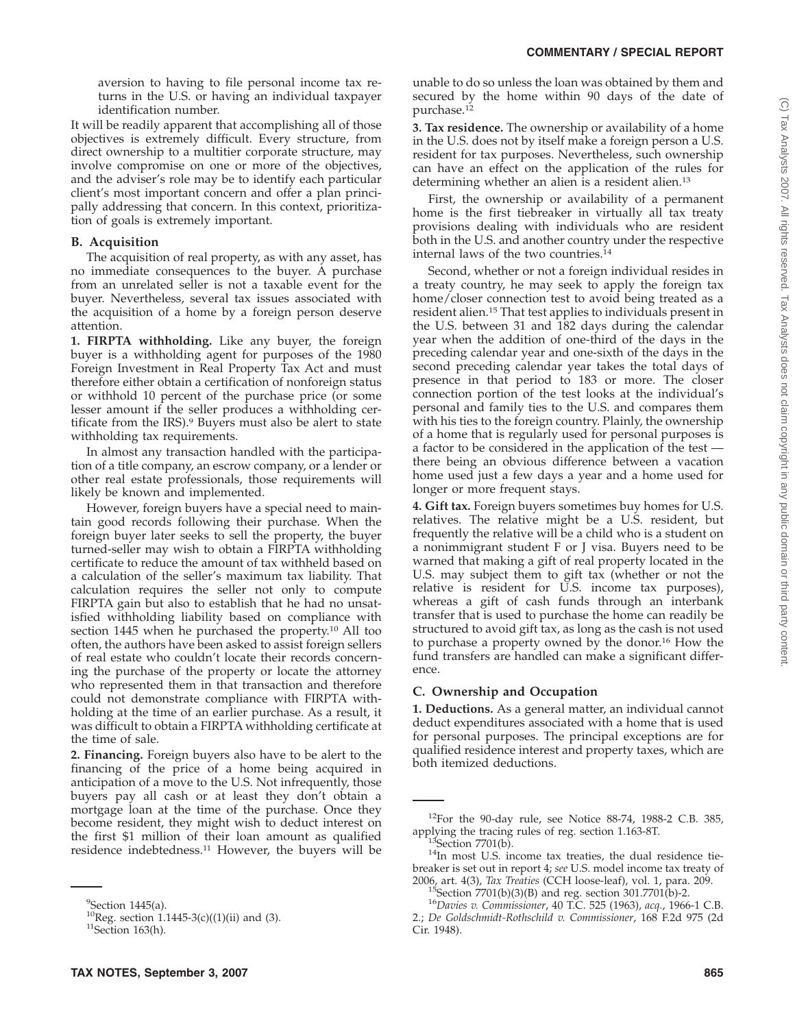aversion to having to file personal income tax returns in the U.S. or having an individual taxpayer identification number.

It will be readily apparent that accomplishing all of those objectives is extremely difficult. Every structure, from direct ownership to a multitier corporate structure, may involve compromise on one or more of the objectives, and the adviser's role may be to identify each particular client's most important concern and offer a plan principally addressing that concern. In this context, prioritization of goals is extremely important.

## **B. Acquisition**

The acquisition of real property, as with any asset, has no immediate consequences to the buyer. A purchase from an unrelated seller is not a taxable event for the buyer. Nevertheless, several tax issues associated with the acquisition of a home by a foreign person deserve attention.

**1. FIRPTA withholding.** Like any buyer, the foreign buyer is a withholding agent for purposes of the 1980 Foreign Investment in Real Property Tax Act and must therefore either obtain a certification of nonforeign status or withhold 10 percent of the purchase price (or some lesser amount if the seller produces a withholding certificate from the IRS).<sup>9</sup> Buyers must also be alert to state withholding tax requirements.

In almost any transaction handled with the participation of a title company, an escrow company, or a lender or other real estate professionals, those requirements will likely be known and implemented.

However, foreign buyers have a special need to maintain good records following their purchase. When the foreign buyer later seeks to sell the property, the buyer turned-seller may wish to obtain a FIRPTA withholding certificate to reduce the amount of tax withheld based on a calculation of the seller's maximum tax liability. That calculation requires the seller not only to compute FIRPTA gain but also to establish that he had no unsatisfied withholding liability based on compliance with section 1445 when he purchased the property.<sup>10</sup> All too often, the authors have been asked to assist foreign sellers of real estate who couldn't locate their records concerning the purchase of the property or locate the attorney who represented them in that transaction and therefore could not demonstrate compliance with FIRPTA withholding at the time of an earlier purchase. As a result, it was difficult to obtain a FIRPTA withholding certificate at the time of sale.

**2. Financing.** Foreign buyers also have to be alert to the financing of the price of a home being acquired in anticipation of a move to the U.S. Not infrequently, those buyers pay all cash or at least they don't obtain a mortgage loan at the time of the purchase. Once they become resident, they might wish to deduct interest on the first \$1 million of their loan amount as qualified residence indebtedness.11 However, the buyers will be

unable to do so unless the loan was obtained by them and secured by the home within 90 days of the date of purchase.12

**3. Tax residence.** The ownership or availability of a home in the U.S. does not by itself make a foreign person a U.S. resident for tax purposes. Nevertheless, such ownership can have an effect on the application of the rules for determining whether an alien is a resident alien.13

First, the ownership or availability of a permanent home is the first tiebreaker in virtually all tax treaty provisions dealing with individuals who are resident both in the U.S. and another country under the respective internal laws of the two countries.14

Second, whether or not a foreign individual resides in a treaty country, he may seek to apply the foreign tax home/closer connection test to avoid being treated as a resident alien.15 That test applies to individuals present in the U.S. between 31 and 182 days during the calendar year when the addition of one-third of the days in the preceding calendar year and one-sixth of the days in the second preceding calendar year takes the total days of presence in that period to 183 or more. The closer connection portion of the test looks at the individual's personal and family ties to the U.S. and compares them with his ties to the foreign country. Plainly, the ownership of a home that is regularly used for personal purposes is a factor to be considered in the application of the test there being an obvious difference between a vacation home used just a few days a year and a home used for longer or more frequent stays.

**4. Gift tax.** Foreign buyers sometimes buy homes for U.S. relatives. The relative might be a U.S. resident, but frequently the relative will be a child who is a student on a nonimmigrant student F or J visa. Buyers need to be warned that making a gift of real property located in the U.S. may subject them to gift tax (whether or not the relative is resident for U.S. income tax purposes), whereas a gift of cash funds through an interbank transfer that is used to purchase the home can readily be structured to avoid gift tax, as long as the cash is not used to purchase a property owned by the donor.16 How the fund transfers are handled can make a significant difference.

## **C. Ownership and Occupation**

**1. Deductions.** As a general matter, an individual cannot deduct expenditures associated with a home that is used for personal purposes. The principal exceptions are for qualified residence interest and property taxes, which are both itemized deductions.

 $9$ Section 1445(a).

<sup>&</sup>lt;sup>10</sup>Reg. section 1.1445-3(c)((1)(ii) and (3). <sup>11</sup>Section 163(h).

 $^{12}$ For the 90-day rule, see Notice 88-74, 1988-2 C.B. 385, applying the tracing rules of reg. section 1.163-8T.

<sup>&</sup>lt;sup>13</sup>Section 7701(b).<br><sup>14</sup>In most U.S. income tax treaties, the dual residence tiebreaker is set out in report 4; *see* U.S. model income tax treaty of

<sup>&</sup>lt;sup>15</sup>Section 7701(b)(3)(B) and reg. section 301.7701(b)-2.<br><sup>16</sup>Davies v. Commissioner, 40 T.C. 525 (1963), *acq.*, 1966-1 C.B.

<sup>2.;</sup> *De Goldschmidt-Rothschild v. Commissioner*, 168 F.2d 975 (2d Cir. 1948).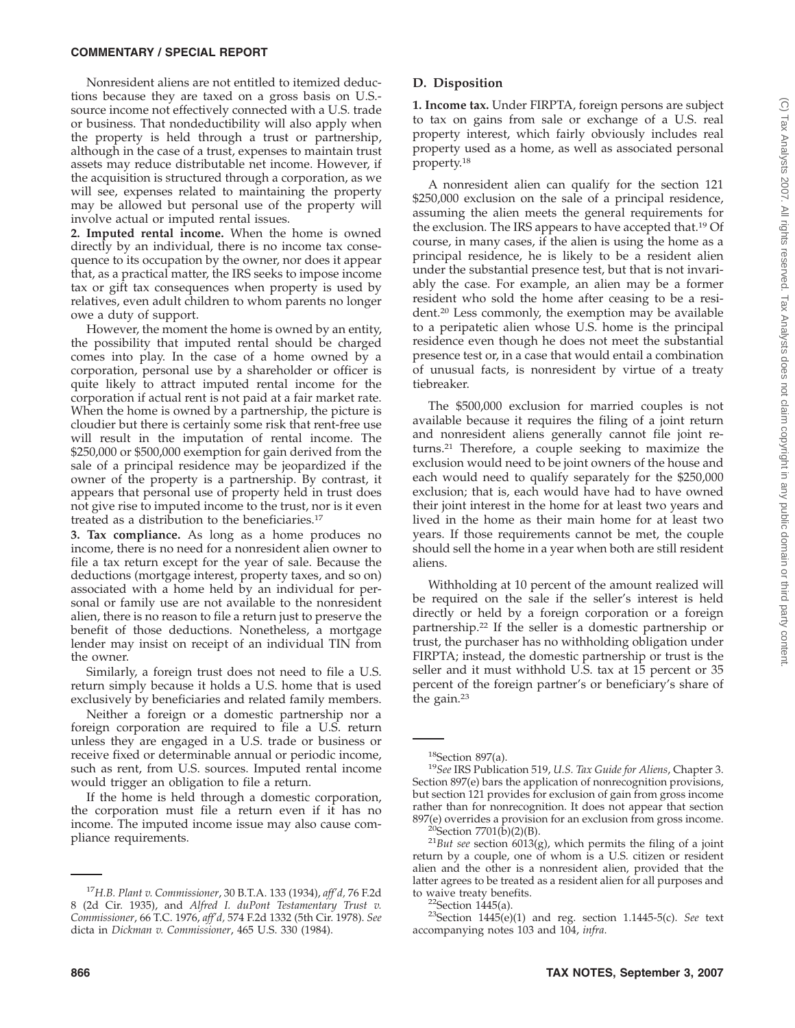Nonresident aliens are not entitled to itemized deductions because they are taxed on a gross basis on U.S. source income not effectively connected with a U.S. trade or business. That nondeductibility will also apply when the property is held through a trust or partnership, although in the case of a trust, expenses to maintain trust assets may reduce distributable net income. However, if the acquisition is structured through a corporation, as we will see, expenses related to maintaining the property may be allowed but personal use of the property will involve actual or imputed rental issues.

**2. Imputed rental income.** When the home is owned directly by an individual, there is no income tax consequence to its occupation by the owner, nor does it appear that, as a practical matter, the IRS seeks to impose income tax or gift tax consequences when property is used by relatives, even adult children to whom parents no longer owe a duty of support.

However, the moment the home is owned by an entity, the possibility that imputed rental should be charged comes into play. In the case of a home owned by a corporation, personal use by a shareholder or officer is quite likely to attract imputed rental income for the corporation if actual rent is not paid at a fair market rate. When the home is owned by a partnership, the picture is cloudier but there is certainly some risk that rent-free use will result in the imputation of rental income. The \$250,000 or \$500,000 exemption for gain derived from the sale of a principal residence may be jeopardized if the owner of the property is a partnership. By contrast, it appears that personal use of property held in trust does not give rise to imputed income to the trust, nor is it even treated as a distribution to the beneficiaries.<sup>17</sup>

**3. Tax compliance.** As long as a home produces no income, there is no need for a nonresident alien owner to file a tax return except for the year of sale. Because the deductions (mortgage interest, property taxes, and so on) associated with a home held by an individual for personal or family use are not available to the nonresident alien, there is no reason to file a return just to preserve the benefit of those deductions. Nonetheless, a mortgage lender may insist on receipt of an individual TIN from the owner.

Similarly, a foreign trust does not need to file a U.S. return simply because it holds a U.S. home that is used exclusively by beneficiaries and related family members.

Neither a foreign or a domestic partnership nor a foreign corporation are required to file a U.S. return unless they are engaged in a U.S. trade or business or receive fixed or determinable annual or periodic income, such as rent, from U.S. sources. Imputed rental income would trigger an obligation to file a return.

If the home is held through a domestic corporation, the corporation must file a return even if it has no income. The imputed income issue may also cause compliance requirements.

#### **D. Disposition**

**1. Income tax.** Under FIRPTA, foreign persons are subject to tax on gains from sale or exchange of a U.S. real property interest, which fairly obviously includes real property used as a home, as well as associated personal property.18

A nonresident alien can qualify for the section 121 \$250,000 exclusion on the sale of a principal residence, assuming the alien meets the general requirements for the exclusion. The IRS appears to have accepted that.19 Of course, in many cases, if the alien is using the home as a principal residence, he is likely to be a resident alien under the substantial presence test, but that is not invariably the case. For example, an alien may be a former resident who sold the home after ceasing to be a resident.20 Less commonly, the exemption may be available to a peripatetic alien whose U.S. home is the principal residence even though he does not meet the substantial presence test or, in a case that would entail a combination of unusual facts, is nonresident by virtue of a treaty tiebreaker.

The \$500,000 exclusion for married couples is not available because it requires the filing of a joint return and nonresident aliens generally cannot file joint returns.21 Therefore, a couple seeking to maximize the exclusion would need to be joint owners of the house and each would need to qualify separately for the \$250,000 exclusion; that is, each would have had to have owned their joint interest in the home for at least two years and lived in the home as their main home for at least two years. If those requirements cannot be met, the couple should sell the home in a year when both are still resident aliens.

Withholding at 10 percent of the amount realized will be required on the sale if the seller's interest is held directly or held by a foreign corporation or a foreign partnership.22 If the seller is a domestic partnership or trust, the purchaser has no withholding obligation under FIRPTA; instead, the domestic partnership or trust is the seller and it must withhold U.S. tax at 15 percent or 35 percent of the foreign partner's or beneficiary's share of the gain.<sup>23</sup>

<sup>17</sup>*H.B. Plant v. Commissioner*, 30 B.T.A. 133 (1934), *aff'd,* 76 F.2d 8 (2d Cir. 1935), and *Alfred I. duPont Testamentary Trust v. Commissioner*, 66 T.C. 1976, *aff'd,* 574 F.2d 1332 (5th Cir. 1978). *See* dicta in *Dickman v. Commissioner*, 465 U.S. 330 (1984).

<sup>&</sup>lt;sup>18</sup>Section 897(a).<br><sup>19</sup>*See* IRS Publication 519, *U.S. Tax Guide for Aliens,* Chapter 3. Section 897(e) bars the application of nonrecognition provisions, but section 121 provides for exclusion of gain from gross income rather than for nonrecognition. It does not appear that section 897(e) overrides a provision for an exclusion from gross income.  $\frac{20}{3}$ Section 7701(b)(2)(B).<br><sup>21</sup>*But see* section 6013(g), which permits the filing of a joint

return by a couple, one of whom is a U.S. citizen or resident alien and the other is a nonresident alien, provided that the latter agrees to be treated as a resident alien for all purposes and

to waive treaty benefits.<br><sup>22</sup>Section 1445(a).<br><sup>23</sup>Section 1445(e)(1) and reg. section 1.1445-5(c). *See* text accompanying notes 103 and 104, *infra*.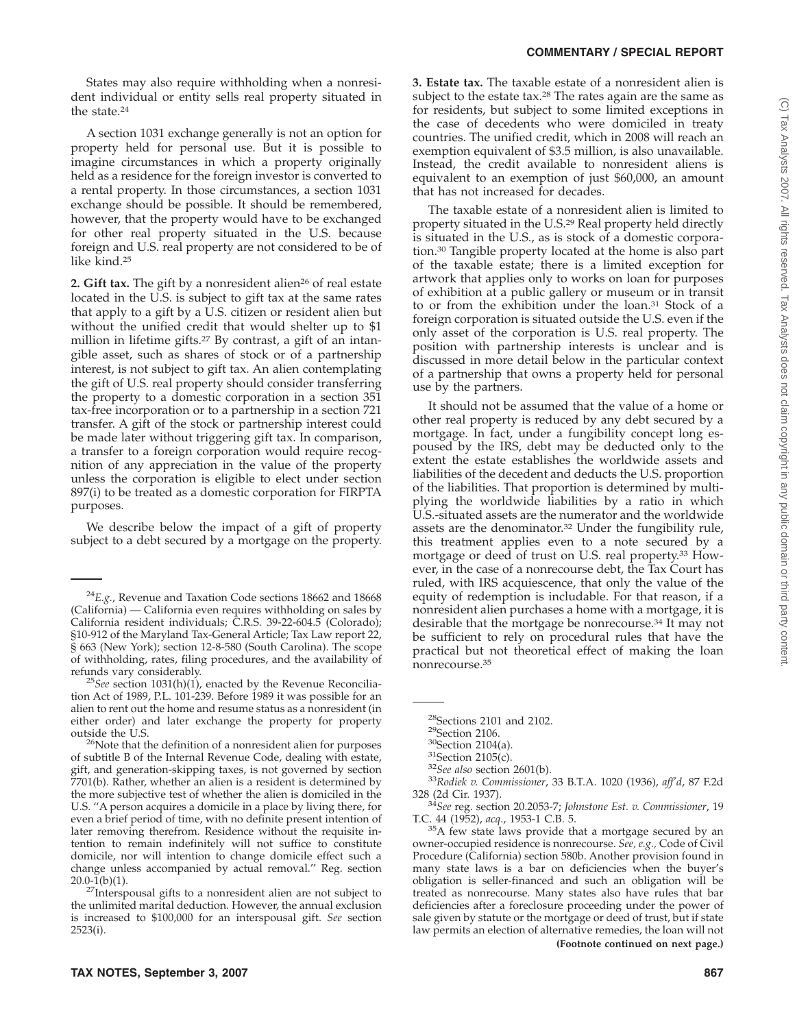States may also require withholding when a nonresident individual or entity sells real property situated in the state.24

A section 1031 exchange generally is not an option for property held for personal use. But it is possible to imagine circumstances in which a property originally held as a residence for the foreign investor is converted to a rental property. In those circumstances, a section 1031 exchange should be possible. It should be remembered, however, that the property would have to be exchanged for other real property situated in the U.S. because foreign and U.S. real property are not considered to be of like kind.25

2. Gift tax. The gift by a nonresident alien<sup>26</sup> of real estate located in the U.S. is subject to gift tax at the same rates that apply to a gift by a U.S. citizen or resident alien but without the unified credit that would shelter up to \$1 million in lifetime gifts.<sup>27</sup> By contrast, a gift of an intangible asset, such as shares of stock or of a partnership interest, is not subject to gift tax. An alien contemplating the gift of U.S. real property should consider transferring the property to a domestic corporation in a section 351 tax-free incorporation or to a partnership in a section 721 transfer. A gift of the stock or partnership interest could be made later without triggering gift tax. In comparison, a transfer to a foreign corporation would require recognition of any appreciation in the value of the property unless the corporation is eligible to elect under section 897(i) to be treated as a domestic corporation for FIRPTA purposes.

We describe below the impact of a gift of property subject to a debt secured by a mortgage on the property. **3. Estate tax.** The taxable estate of a nonresident alien is subject to the estate tax.<sup>28</sup> The rates again are the same as for residents, but subject to some limited exceptions in the case of decedents who were domiciled in treaty countries. The unified credit, which in 2008 will reach an exemption equivalent of \$3.5 million, is also unavailable. Instead, the credit available to nonresident aliens is equivalent to an exemption of just \$60,000, an amount that has not increased for decades.

The taxable estate of a nonresident alien is limited to property situated in the U.S.29 Real property held directly is situated in the U.S., as is stock of a domestic corporation.30 Tangible property located at the home is also part of the taxable estate; there is a limited exception for artwork that applies only to works on loan for purposes of exhibition at a public gallery or museum or in transit to or from the exhibition under the loan.31 Stock of a foreign corporation is situated outside the U.S. even if the only asset of the corporation is U.S. real property. The position with partnership interests is unclear and is discussed in more detail below in the particular context of a partnership that owns a property held for personal use by the partners.

It should not be assumed that the value of a home or other real property is reduced by any debt secured by a mortgage. In fact, under a fungibility concept long espoused by the IRS, debt may be deducted only to the extent the estate establishes the worldwide assets and liabilities of the decedent and deducts the U.S. proportion of the liabilities. That proportion is determined by multiplying the worldwide liabilities by a ratio in which U.S.-situated assets are the numerator and the worldwide assets are the denominator.32 Under the fungibility rule, this treatment applies even to a note secured by a mortgage or deed of trust on U.S. real property.33 However, in the case of a nonrecourse debt, the Tax Court has ruled, with IRS acquiescence, that only the value of the equity of redemption is includable. For that reason, if a nonresident alien purchases a home with a mortgage, it is desirable that the mortgage be nonrecourse.34 It may not be sufficient to rely on procedural rules that have the practical but not theoretical effect of making the loan nonrecourse.35

<sup>35</sup>A few state laws provide that a mortgage secured by an owner-occupied residence is nonrecourse. *See, e.g.,* Code of Civil Procedure (California) section 580b. Another provision found in many state laws is a bar on deficiencies when the buyer's obligation is seller-financed and such an obligation will be treated as nonrecourse. Many states also have rules that bar deficiencies after a foreclosure proceeding under the power of sale given by statute or the mortgage or deed of trust, but if state law permits an election of alternative remedies, the loan will not **(Footnote continued on next page.)**

<sup>24</sup>*E.g.*, Revenue and Taxation Code sections 18662 and 18668 (California) — California even requires withholding on sales by California resident individuals; C.R.S. 39-22-604.5 (Colorado); §10-912 of the Maryland Tax-General Article; Tax Law report 22, § 663 (New York); section 12-8-580 (South Carolina). The scope of withholding, rates, filing procedures, and the availability of

<sup>&</sup>lt;sup>25</sup>See section 1031(h)(1), enacted by the Revenue Reconciliation Act of 1989, P.L. 101-239. Before 1989 it was possible for an alien to rent out the home and resume status as a nonresident (in either order) and later exchange the property for property

<sup>&</sup>lt;sup>26</sup>Note that the definition of a nonresident alien for purposes of subtitle B of the Internal Revenue Code, dealing with estate, gift, and generation-skipping taxes, is not governed by section 7701(b). Rather, whether an alien is a resident is determined by the more subjective test of whether the alien is domiciled in the U.S. ''A person acquires a domicile in a place by living there, for even a brief period of time, with no definite present intention of later removing therefrom. Residence without the requisite intention to remain indefinitely will not suffice to constitute domicile, nor will intention to change domicile effect such a change unless accompanied by actual removal.'' Reg. section

 $20.0-1(b)(1)$ .<br><sup>27</sup>Interspousal gifts to a nonresident alien are not subject to the unlimited marital deduction. However, the annual exclusion is increased to \$100,000 for an interspousal gift. *See* section 2523(i).

<sup>&</sup>lt;sup>28</sup>Sections 2101 and 2102.<br><sup>29</sup>Section 2106.<br><sup>30</sup>Section 2104(a).<br><sup>31</sup>Section 2105(c). <sup>32</sup>*See also* section 2601(b). 33<br><sup>33</sup>Rodiek v. Commissioner, 33 B.T.A. 1020 (1936), *aff'd*, 87 F.2d

<sup>328 (2</sup>d Cir. 1937). <sup>34</sup>*See* reg. section 20.2053-7; *Johnstone Est. v. Commissioner*, 19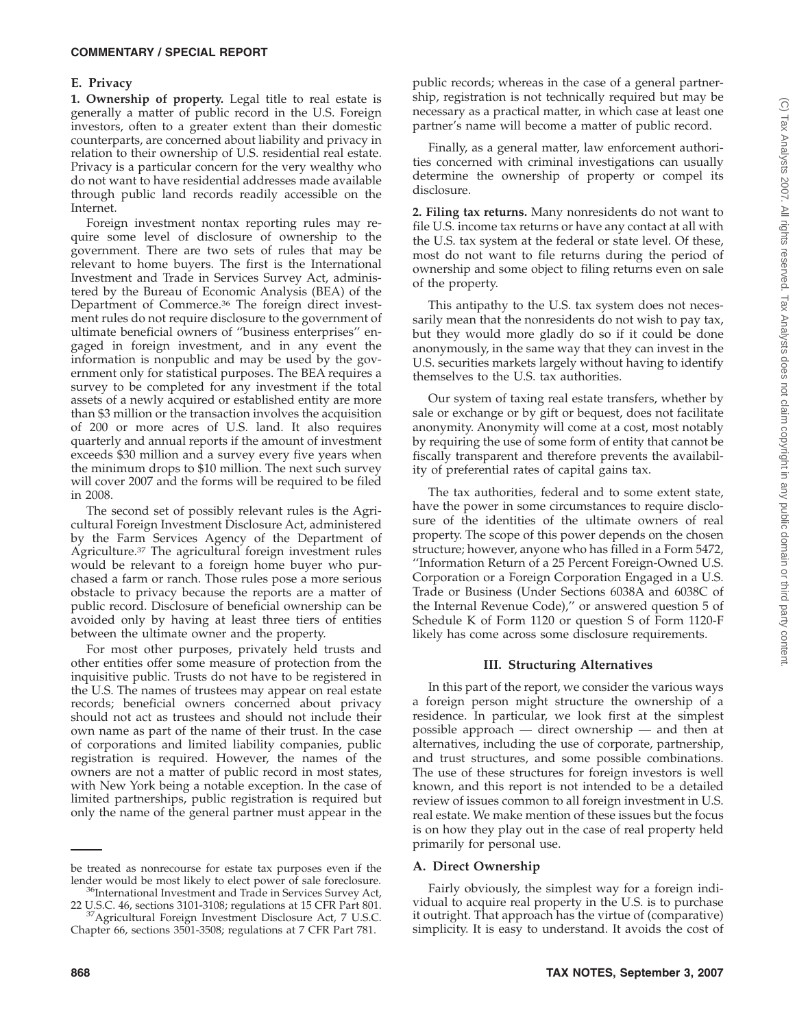## **E. Privacy**

**1. Ownership of property.** Legal title to real estate is generally a matter of public record in the U.S. Foreign investors, often to a greater extent than their domestic counterparts, are concerned about liability and privacy in relation to their ownership of U.S. residential real estate. Privacy is a particular concern for the very wealthy who do not want to have residential addresses made available through public land records readily accessible on the Internet.

Foreign investment nontax reporting rules may require some level of disclosure of ownership to the government. There are two sets of rules that may be relevant to home buyers. The first is the International Investment and Trade in Services Survey Act, administered by the Bureau of Economic Analysis (BEA) of the Department of Commerce.36 The foreign direct investment rules do not require disclosure to the government of ultimate beneficial owners of ''business enterprises'' engaged in foreign investment, and in any event the information is nonpublic and may be used by the government only for statistical purposes. The BEA requires a survey to be completed for any investment if the total assets of a newly acquired or established entity are more than \$3 million or the transaction involves the acquisition of 200 or more acres of U.S. land. It also requires quarterly and annual reports if the amount of investment exceeds \$30 million and a survey every five years when the minimum drops to \$10 million. The next such survey will cover 2007 and the forms will be required to be filed in 2008.

The second set of possibly relevant rules is the Agricultural Foreign Investment Disclosure Act, administered by the Farm Services Agency of the Department of Agriculture.37 The agricultural foreign investment rules would be relevant to a foreign home buyer who purchased a farm or ranch. Those rules pose a more serious obstacle to privacy because the reports are a matter of public record. Disclosure of beneficial ownership can be avoided only by having at least three tiers of entities between the ultimate owner and the property.

For most other purposes, privately held trusts and other entities offer some measure of protection from the inquisitive public. Trusts do not have to be registered in the U.S. The names of trustees may appear on real estate records; beneficial owners concerned about privacy should not act as trustees and should not include their own name as part of the name of their trust. In the case of corporations and limited liability companies, public registration is required. However, the names of the owners are not a matter of public record in most states, with New York being a notable exception. In the case of limited partnerships, public registration is required but only the name of the general partner must appear in the public records; whereas in the case of a general partnership, registration is not technically required but may be necessary as a practical matter, in which case at least one partner's name will become a matter of public record.

Finally, as a general matter, law enforcement authorities concerned with criminal investigations can usually determine the ownership of property or compel its disclosure.

**2. Filing tax returns.** Many nonresidents do not want to file U.S. income tax returns or have any contact at all with the U.S. tax system at the federal or state level. Of these, most do not want to file returns during the period of ownership and some object to filing returns even on sale of the property.

This antipathy to the U.S. tax system does not necessarily mean that the nonresidents do not wish to pay tax, but they would more gladly do so if it could be done anonymously, in the same way that they can invest in the U.S. securities markets largely without having to identify themselves to the U.S. tax authorities.

Our system of taxing real estate transfers, whether by sale or exchange or by gift or bequest, does not facilitate anonymity. Anonymity will come at a cost, most notably by requiring the use of some form of entity that cannot be fiscally transparent and therefore prevents the availability of preferential rates of capital gains tax.

The tax authorities, federal and to some extent state, have the power in some circumstances to require disclosure of the identities of the ultimate owners of real property. The scope of this power depends on the chosen structure; however, anyone who has filled in a Form 5472, ''Information Return of a 25 Percent Foreign-Owned U.S. Corporation or a Foreign Corporation Engaged in a U.S. Trade or Business (Under Sections 6038A and 6038C of the Internal Revenue Code),'' or answered question 5 of Schedule K of Form 1120 or question S of Form 1120-F likely has come across some disclosure requirements.

## **III. Structuring Alternatives**

In this part of the report, we consider the various ways a foreign person might structure the ownership of a residence. In particular, we look first at the simplest possible approach — direct ownership — and then at alternatives, including the use of corporate, partnership, and trust structures, and some possible combinations. The use of these structures for foreign investors is well known, and this report is not intended to be a detailed review of issues common to all foreign investment in U.S. real estate. We make mention of these issues but the focus is on how they play out in the case of real property held primarily for personal use.

## **A. Direct Ownership**

Fairly obviously, the simplest way for a foreign individual to acquire real property in the U.S. is to purchase it outright. That approach has the virtue of (comparative) simplicity. It is easy to understand. It avoids the cost of

be treated as nonrecourse for estate tax purposes even if the lender would be most likely to elect power of sale foreclosure.

<sup>&</sup>lt;sup>36</sup>International Investment and Trade in Services Survey Act, 22 U.S.C. 46, sections 3101-3108; regulations at 15 CFR Part 801. 37Agricultural Foreign Investment Disclosure Act, 7 U.S.C.

Chapter 66, sections 3501-3508; regulations at 7 CFR Part 781.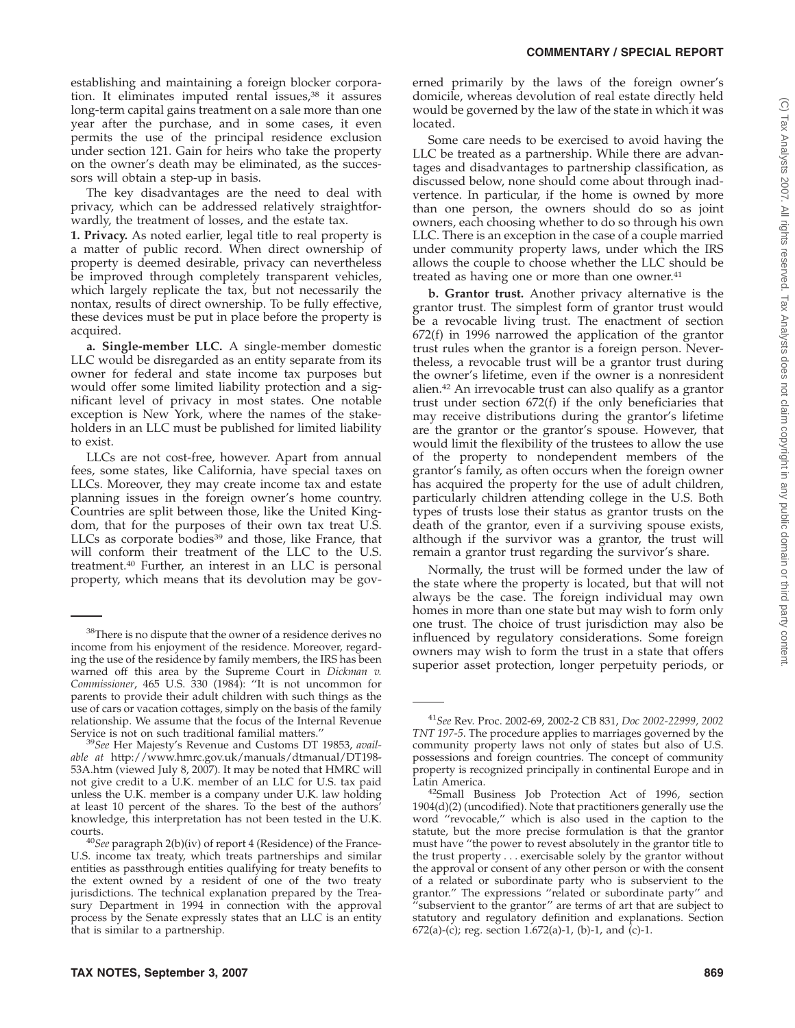establishing and maintaining a foreign blocker corporation. It eliminates imputed rental issues,<sup>38</sup> it assures long-term capital gains treatment on a sale more than one year after the purchase, and in some cases, it even permits the use of the principal residence exclusion under section 121. Gain for heirs who take the property on the owner's death may be eliminated, as the successors will obtain a step-up in basis.

The key disadvantages are the need to deal with privacy, which can be addressed relatively straightforwardly, the treatment of losses, and the estate tax.

**1. Privacy.** As noted earlier, legal title to real property is a matter of public record. When direct ownership of property is deemed desirable, privacy can nevertheless be improved through completely transparent vehicles, which largely replicate the tax, but not necessarily the nontax, results of direct ownership. To be fully effective, these devices must be put in place before the property is acquired.

**a. Single-member LLC.** A single-member domestic LLC would be disregarded as an entity separate from its owner for federal and state income tax purposes but would offer some limited liability protection and a significant level of privacy in most states. One notable exception is New York, where the names of the stakeholders in an LLC must be published for limited liability to exist.

LLCs are not cost-free, however. Apart from annual fees, some states, like California, have special taxes on LLCs. Moreover, they may create income tax and estate planning issues in the foreign owner's home country. Countries are split between those, like the United Kingdom, that for the purposes of their own tax treat U.S. LLCs as corporate bodies<sup>39</sup> and those, like France, that will conform their treatment of the LLC to the U.S. treatment.40 Further, an interest in an LLC is personal property, which means that its devolution may be governed primarily by the laws of the foreign owner's domicile, whereas devolution of real estate directly held would be governed by the law of the state in which it was located.

Some care needs to be exercised to avoid having the LLC be treated as a partnership. While there are advantages and disadvantages to partnership classification, as discussed below, none should come about through inadvertence. In particular, if the home is owned by more than one person, the owners should do so as joint owners, each choosing whether to do so through his own LLC. There is an exception in the case of a couple married under community property laws, under which the IRS allows the couple to choose whether the LLC should be treated as having one or more than one owner.<sup>41</sup>

**b. Grantor trust.** Another privacy alternative is the grantor trust. The simplest form of grantor trust would be a revocable living trust. The enactment of section 672(f) in 1996 narrowed the application of the grantor trust rules when the grantor is a foreign person. Nevertheless, a revocable trust will be a grantor trust during the owner's lifetime, even if the owner is a nonresident alien.42 An irrevocable trust can also qualify as a grantor trust under section 672(f) if the only beneficiaries that may receive distributions during the grantor's lifetime are the grantor or the grantor's spouse. However, that would limit the flexibility of the trustees to allow the use of the property to nondependent members of the grantor's family, as often occurs when the foreign owner has acquired the property for the use of adult children, particularly children attending college in the U.S. Both types of trusts lose their status as grantor trusts on the death of the grantor, even if a surviving spouse exists, although if the survivor was a grantor, the trust will remain a grantor trust regarding the survivor's share.

Normally, the trust will be formed under the law of the state where the property is located, but that will not always be the case. The foreign individual may own homes in more than one state but may wish to form only one trust. The choice of trust jurisdiction may also be influenced by regulatory considerations. Some foreign owners may wish to form the trust in a state that offers superior asset protection, longer perpetuity periods, or

<sup>&</sup>lt;sup>38</sup>There is no dispute that the owner of a residence derives no income from his enjoyment of the residence. Moreover, regarding the use of the residence by family members, the IRS has been warned off this area by the Supreme Court in *Dickman v. Commissioner*, 465 U.S. 330 (1984): ''It is not uncommon for parents to provide their adult children with such things as the use of cars or vacation cottages, simply on the basis of the family relationship. We assume that the focus of the Internal Revenue Service is not on such traditional familial matters."

<sup>&</sup>lt;sup>39</sup>See Her Majesty's Revenue and Customs DT 19853, *available at* http://www.hmrc.gov.uk/manuals/dtmanual/DT198- 53A.htm (viewed July 8, 2007). It may be noted that HMRC will not give credit to a U.K. member of an LLC for U.S. tax paid unless the U.K. member is a company under U.K. law holding at least 10 percent of the shares. To the best of the authors' knowledge, this interpretation has not been tested in the U.K.

courts. <sup>40</sup>*See* paragraph 2(b)(iv) of report 4 (Residence) of the France-U.S. income tax treaty, which treats partnerships and similar entities as passthrough entities qualifying for treaty benefits to the extent owned by a resident of one of the two treaty jurisdictions. The technical explanation prepared by the Treasury Department in 1994 in connection with the approval process by the Senate expressly states that an LLC is an entity that is similar to a partnership.

<sup>41</sup>*See* Rev. Proc. 2002-69, 2002-2 CB 831, *Doc 2002-22999, 2002 TNT 197-5*. The procedure applies to marriages governed by the community property laws not only of states but also of U.S. possessions and foreign countries. The concept of community property is recognized principally in continental Europe and in

<sup>&</sup>lt;sup>42</sup>Small Business Job Protection Act of 1996, section 1904(d)(2) (uncodified). Note that practitioners generally use the word ''revocable,'' which is also used in the caption to the statute, but the more precise formulation is that the grantor must have ''the power to revest absolutely in the grantor title to the trust property... exercisable solely by the grantor without the approval or consent of any other person or with the consent of a related or subordinate party who is subservient to the grantor.'' The expressions ''related or subordinate party'' and 'subservient to the grantor" are terms of art that are subject to statutory and regulatory definition and explanations. Section  $672(a)-(c)$ ; reg. section 1.672(a)-1, (b)-1, and (c)-1.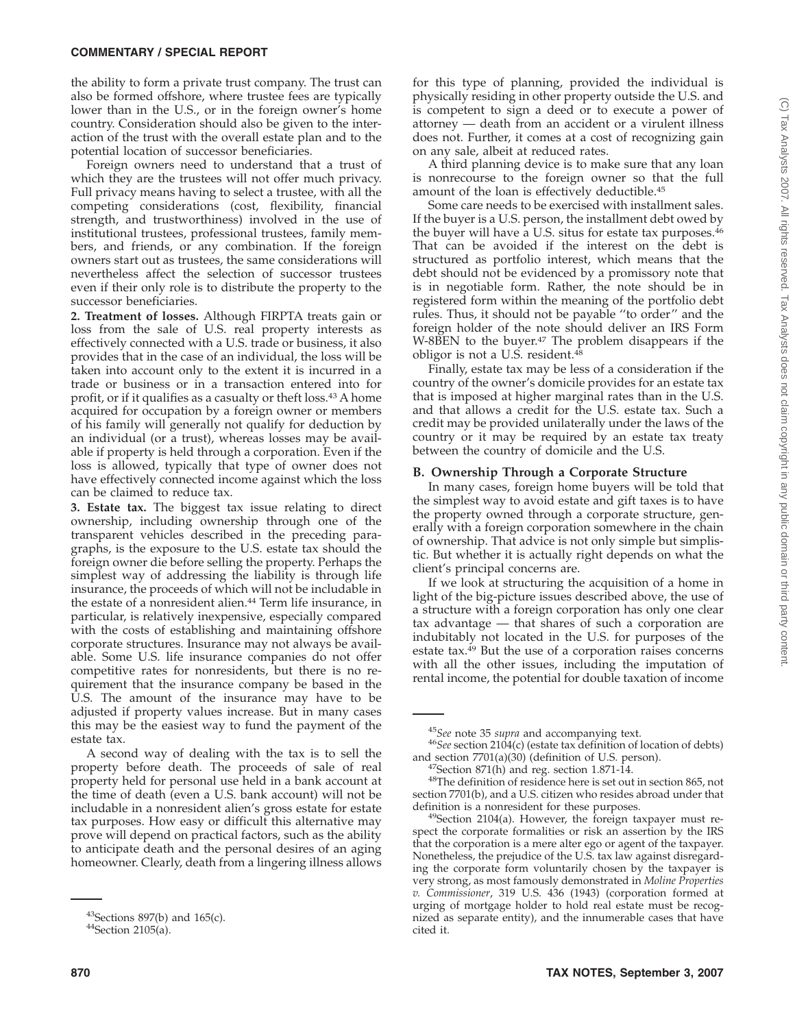the ability to form a private trust company. The trust can also be formed offshore, where trustee fees are typically lower than in the U.S., or in the foreign owner's home country. Consideration should also be given to the interaction of the trust with the overall estate plan and to the potential location of successor beneficiaries.

Foreign owners need to understand that a trust of which they are the trustees will not offer much privacy. Full privacy means having to select a trustee, with all the competing considerations (cost, flexibility, financial strength, and trustworthiness) involved in the use of institutional trustees, professional trustees, family members, and friends, or any combination. If the foreign owners start out as trustees, the same considerations will nevertheless affect the selection of successor trustees even if their only role is to distribute the property to the successor beneficiaries.

**2. Treatment of losses.** Although FIRPTA treats gain or loss from the sale of U.S. real property interests as effectively connected with a U.S. trade or business, it also provides that in the case of an individual, the loss will be taken into account only to the extent it is incurred in a trade or business or in a transaction entered into for profit, or if it qualifies as a casualty or theft loss.43 A home acquired for occupation by a foreign owner or members of his family will generally not qualify for deduction by an individual (or a trust), whereas losses may be available if property is held through a corporation. Even if the loss is allowed, typically that type of owner does not have effectively connected income against which the loss can be claimed to reduce tax.

**3. Estate tax.** The biggest tax issue relating to direct ownership, including ownership through one of the transparent vehicles described in the preceding paragraphs, is the exposure to the U.S. estate tax should the foreign owner die before selling the property. Perhaps the simplest way of addressing the liability is through life insurance, the proceeds of which will not be includable in the estate of a nonresident alien.<sup>44</sup> Term life insurance, in particular, is relatively inexpensive, especially compared with the costs of establishing and maintaining offshore corporate structures. Insurance may not always be available. Some U.S. life insurance companies do not offer competitive rates for nonresidents, but there is no requirement that the insurance company be based in the U.S. The amount of the insurance may have to be adjusted if property values increase. But in many cases this may be the easiest way to fund the payment of the estate tax.

A second way of dealing with the tax is to sell the property before death. The proceeds of sale of real property held for personal use held in a bank account at the time of death (even a U.S. bank account) will not be includable in a nonresident alien's gross estate for estate tax purposes. How easy or difficult this alternative may prove will depend on practical factors, such as the ability to anticipate death and the personal desires of an aging homeowner. Clearly, death from a lingering illness allows

for this type of planning, provided the individual is physically residing in other property outside the U.S. and is competent to sign a deed or to execute a power of attorney — death from an accident or a virulent illness does not. Further, it comes at a cost of recognizing gain on any sale, albeit at reduced rates.

A third planning device is to make sure that any loan is nonrecourse to the foreign owner so that the full amount of the loan is effectively deductible.<sup>45</sup>

Some care needs to be exercised with installment sales. If the buyer is a U.S. person, the installment debt owed by the buyer will have a U.S. situs for estate tax purposes.46 That can be avoided if the interest on the debt is structured as portfolio interest, which means that the debt should not be evidenced by a promissory note that is in negotiable form. Rather, the note should be in registered form within the meaning of the portfolio debt rules. Thus, it should not be payable ''to order'' and the foreign holder of the note should deliver an IRS Form W-8BEN to the buyer.47 The problem disappears if the obligor is not a U.S. resident.<sup>48</sup>

Finally, estate tax may be less of a consideration if the country of the owner's domicile provides for an estate tax that is imposed at higher marginal rates than in the U.S. and that allows a credit for the U.S. estate tax. Such a credit may be provided unilaterally under the laws of the country or it may be required by an estate tax treaty between the country of domicile and the U.S.

## **B. Ownership Through a Corporate Structure**

In many cases, foreign home buyers will be told that the simplest way to avoid estate and gift taxes is to have the property owned through a corporate structure, generally with a foreign corporation somewhere in the chain of ownership. That advice is not only simple but simplistic. But whether it is actually right depends on what the client's principal concerns are.

If we look at structuring the acquisition of a home in light of the big-picture issues described above, the use of a structure with a foreign corporation has only one clear tax advantage — that shares of such a corporation are indubitably not located in the U.S. for purposes of the estate tax.49 But the use of a corporation raises concerns with all the other issues, including the imputation of rental income, the potential for double taxation of income

 $43$ Sections 897(b) and 165(c).  $44$ Section 2105(a).

<sup>&</sup>lt;sup>45</sup>*See* note 35 *supra* and accompanying text.<br><sup>46</sup>*See* section 2104(c) (estate tax definition of location of debts) and section 7701(a)(30) (definition of U.S. person).

<sup>&</sup>lt;sup>47</sup>Section 871(h) and reg. section 1.871-14.  $48$ The definition of residence here is set out in section 865, not section 7701(b), and a U.S. citizen who resides abroad under that definition is a nonresident for these purposes.<br><sup>49</sup>Section 2104(a). However, the foreign taxpayer must re-

spect the corporate formalities or risk an assertion by the IRS that the corporation is a mere alter ego or agent of the taxpayer. Nonetheless, the prejudice of the U.S. tax law against disregarding the corporate form voluntarily chosen by the taxpayer is very strong, as most famously demonstrated in *Moline Properties v. Commissioner*, 319 U.S. 436 (1943) (corporation formed at urging of mortgage holder to hold real estate must be recognized as separate entity), and the innumerable cases that have cited it.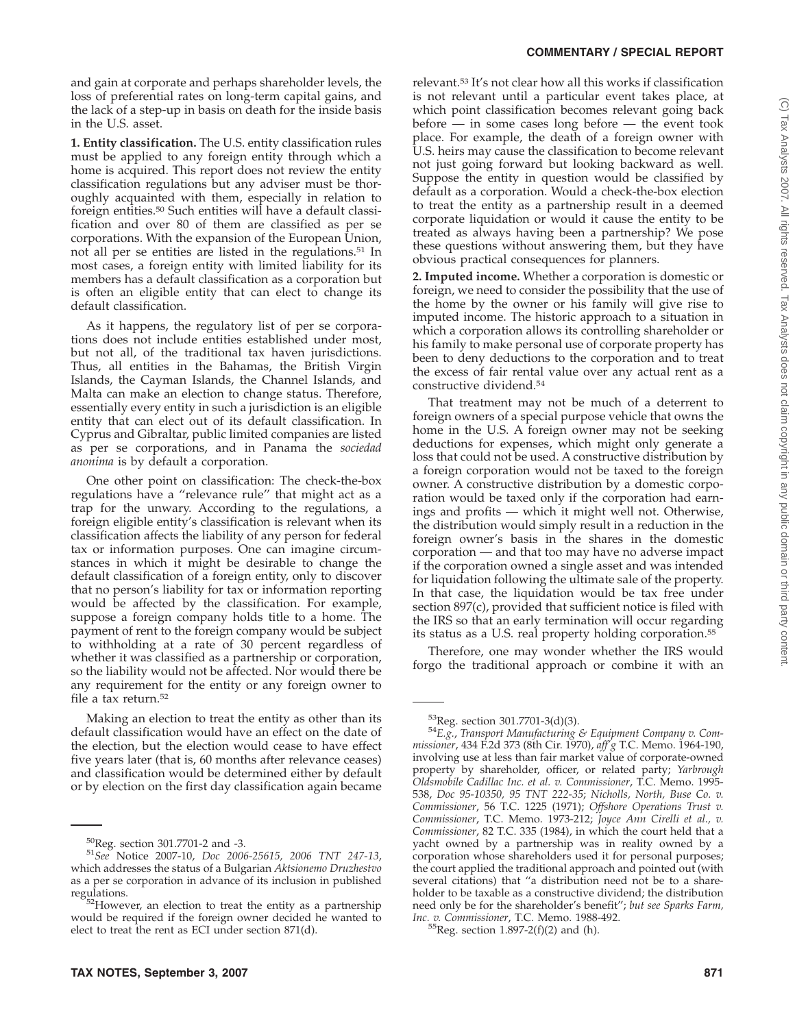and gain at corporate and perhaps shareholder levels, the loss of preferential rates on long-term capital gains, and the lack of a step-up in basis on death for the inside basis in the U.S. asset.

**1. Entity classification.** The U.S. entity classification rules must be applied to any foreign entity through which a home is acquired. This report does not review the entity classification regulations but any adviser must be thoroughly acquainted with them, especially in relation to foreign entities.50 Such entities will have a default classification and over 80 of them are classified as per se corporations. With the expansion of the European Union, not all per se entities are listed in the regulations.<sup>51</sup> In most cases, a foreign entity with limited liability for its members has a default classification as a corporation but is often an eligible entity that can elect to change its default classification.

As it happens, the regulatory list of per se corporations does not include entities established under most, but not all, of the traditional tax haven jurisdictions. Thus, all entities in the Bahamas, the British Virgin Islands, the Cayman Islands, the Channel Islands, and Malta can make an election to change status. Therefore, essentially every entity in such a jurisdiction is an eligible entity that can elect out of its default classification. In Cyprus and Gibraltar, public limited companies are listed as per se corporations, and in Panama the *sociedad anonima* is by default a corporation.

One other point on classification: The check-the-box regulations have a ''relevance rule'' that might act as a trap for the unwary. According to the regulations, a foreign eligible entity's classification is relevant when its classification affects the liability of any person for federal tax or information purposes. One can imagine circumstances in which it might be desirable to change the default classification of a foreign entity, only to discover that no person's liability for tax or information reporting would be affected by the classification. For example, suppose a foreign company holds title to a home. The payment of rent to the foreign company would be subject to withholding at a rate of 30 percent regardless of whether it was classified as a partnership or corporation, so the liability would not be affected. Nor would there be any requirement for the entity or any foreign owner to file a tax return.52

Making an election to treat the entity as other than its default classification would have an effect on the date of the election, but the election would cease to have effect five years later (that is, 60 months after relevance ceases) and classification would be determined either by default or by election on the first day classification again became

relevant.53 It's not clear how all this works if classification is not relevant until a particular event takes place, at which point classification becomes relevant going back before — in some cases long before — the event took place. For example, the death of a foreign owner with U.S. heirs may cause the classification to become relevant not just going forward but looking backward as well. Suppose the entity in question would be classified by default as a corporation. Would a check-the-box election to treat the entity as a partnership result in a deemed corporate liquidation or would it cause the entity to be treated as always having been a partnership? We pose these questions without answering them, but they have obvious practical consequences for planners.

**2. Imputed income.** Whether a corporation is domestic or foreign, we need to consider the possibility that the use of the home by the owner or his family will give rise to imputed income. The historic approach to a situation in which a corporation allows its controlling shareholder or his family to make personal use of corporate property has been to deny deductions to the corporation and to treat the excess of fair rental value over any actual rent as a constructive dividend.54

That treatment may not be much of a deterrent to foreign owners of a special purpose vehicle that owns the home in the U.S. A foreign owner may not be seeking deductions for expenses, which might only generate a loss that could not be used. A constructive distribution by a foreign corporation would not be taxed to the foreign owner. A constructive distribution by a domestic corporation would be taxed only if the corporation had earnings and profits — which it might well not. Otherwise, the distribution would simply result in a reduction in the foreign owner's basis in the shares in the domestic corporation — and that too may have no adverse impact if the corporation owned a single asset and was intended for liquidation following the ultimate sale of the property. In that case, the liquidation would be tax free under section 897(c), provided that sufficient notice is filed with the IRS so that an early termination will occur regarding its status as a U.S. real property holding corporation.55

Therefore, one may wonder whether the IRS would forgo the traditional approach or combine it with an

<sup>50</sup>Reg. section 301.7701-2 and -3. <sup>51</sup>*See* Notice 2007-10, *Doc 2006-25615, 2006 TNT 247-13*, which addresses the status of a Bulgarian *Aktsionemo Druzhestvo* as a per se corporation in advance of its inclusion in published

 $52$ However, an election to treat the entity as a partnership would be required if the foreign owner decided he wanted to elect to treat the rent as ECI under section 871(d).

<sup>&</sup>lt;sup>53</sup>Reg. section 301.7701-3(d)(3).<br><sup>54</sup>E.g., Transport Manufacturing & Equipment Company v. Com*missioner*, 434 F.2d 373 (8th Cir. 1970), *aff'g* T.C. Memo. 1964-190, involving use at less than fair market value of corporate-owned property by shareholder, officer, or related party; *Yarbrough Oldsmobile Cadillac Inc. et al. v. Commissioner*, T.C. Memo. 1995- 538, *Doc 95-10350, 95 TNT 222-35*; *Nicholls, North, Buse Co. v. Commissioner*, 56 T.C. 1225 (1971); *Offshore Operations Trust v. Commissioner*, T.C. Memo. 1973-212; *Joyce Ann Cirelli et al., v. Commissioner*, 82 T.C. 335 (1984), in which the court held that a yacht owned by a partnership was in reality owned by a corporation whose shareholders used it for personal purposes; the court applied the traditional approach and pointed out (with several citations) that ''a distribution need not be to a shareholder to be taxable as a constructive dividend; the distribution need only be for the shareholder's benefit''; *but see Sparks Farm,*

*Inc. v. Commissioner*, T.C. Memo. 1988-492.<br><sup>55</sup>Reg. section 1.897-2(f)(2) and (h).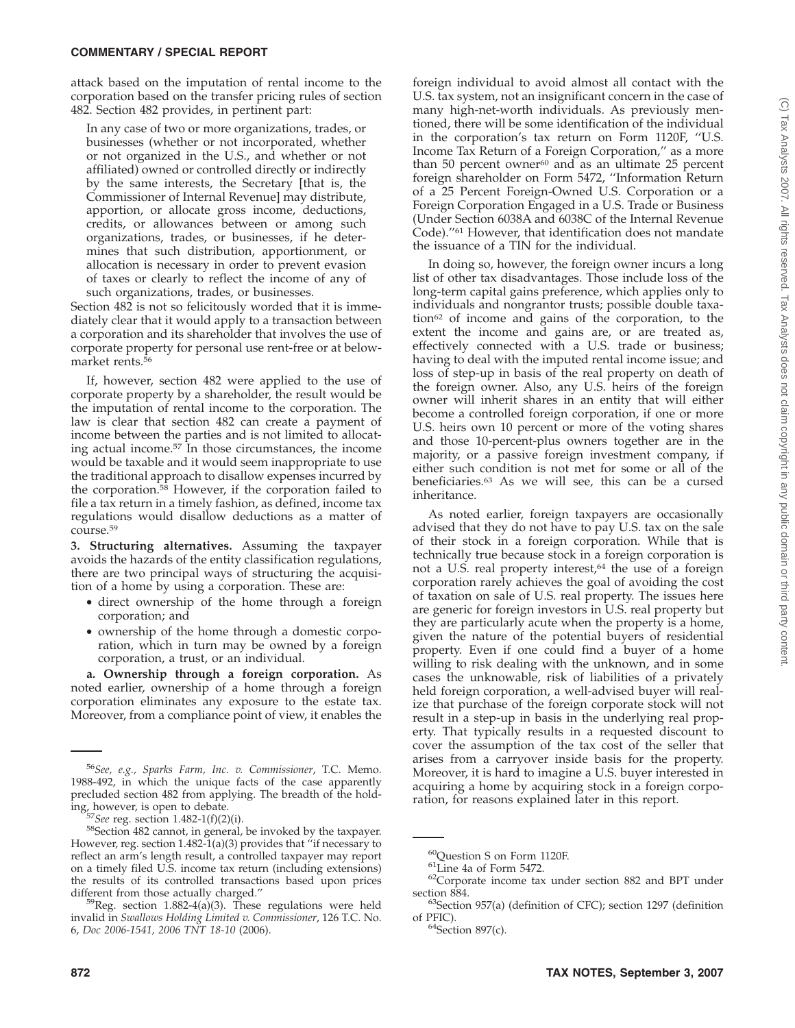attack based on the imputation of rental income to the corporation based on the transfer pricing rules of section 482. Section 482 provides, in pertinent part:

In any case of two or more organizations, trades, or businesses (whether or not incorporated, whether or not organized in the U.S., and whether or not affiliated) owned or controlled directly or indirectly by the same interests, the Secretary [that is, the Commissioner of Internal Revenue] may distribute, apportion, or allocate gross income, deductions, credits, or allowances between or among such organizations, trades, or businesses, if he determines that such distribution, apportionment, or allocation is necessary in order to prevent evasion of taxes or clearly to reflect the income of any of such organizations, trades, or businesses.

Section 482 is not so felicitously worded that it is immediately clear that it would apply to a transaction between a corporation and its shareholder that involves the use of corporate property for personal use rent-free or at belowmarket rents.<sup>56</sup>

If, however, section 482 were applied to the use of corporate property by a shareholder, the result would be the imputation of rental income to the corporation. The law is clear that section 482 can create a payment of income between the parties and is not limited to allocating actual income.57 In those circumstances, the income would be taxable and it would seem inappropriate to use the traditional approach to disallow expenses incurred by the corporation.58 However, if the corporation failed to file a tax return in a timely fashion, as defined, income tax regulations would disallow deductions as a matter of course.59

**3. Structuring alternatives.** Assuming the taxpayer avoids the hazards of the entity classification regulations, there are two principal ways of structuring the acquisition of a home by using a corporation. These are:

- direct ownership of the home through a foreign corporation; and
- ownership of the home through a domestic corporation, which in turn may be owned by a foreign corporation, a trust, or an individual.

**a. Ownership through a foreign corporation.** As noted earlier, ownership of a home through a foreign corporation eliminates any exposure to the estate tax. Moreover, from a compliance point of view, it enables the foreign individual to avoid almost all contact with the U.S. tax system, not an insignificant concern in the case of many high-net-worth individuals. As previously mentioned, there will be some identification of the individual in the corporation's tax return on Form 1120F, ''U.S. Income Tax Return of a Foreign Corporation,'' as a more than 50 percent owner $60$  and as an ultimate 25 percent foreign shareholder on Form 5472, ''Information Return of a 25 Percent Foreign-Owned U.S. Corporation or a Foreign Corporation Engaged in a U.S. Trade or Business (Under Section 6038A and 6038C of the Internal Revenue Code).''61 However, that identification does not mandate the issuance of a TIN for the individual.

In doing so, however, the foreign owner incurs a long list of other tax disadvantages. Those include loss of the long-term capital gains preference, which applies only to individuals and nongrantor trusts; possible double taxation62 of income and gains of the corporation, to the extent the income and gains are, or are treated as, effectively connected with a U.S. trade or business; having to deal with the imputed rental income issue; and loss of step-up in basis of the real property on death of the foreign owner. Also, any U.S. heirs of the foreign owner will inherit shares in an entity that will either become a controlled foreign corporation, if one or more U.S. heirs own 10 percent or more of the voting shares and those 10-percent-plus owners together are in the majority, or a passive foreign investment company, if either such condition is not met for some or all of the beneficiaries.63 As we will see, this can be a cursed inheritance.

As noted earlier, foreign taxpayers are occasionally advised that they do not have to pay U.S. tax on the sale of their stock in a foreign corporation. While that is technically true because stock in a foreign corporation is not a U.S. real property interest,<sup>64</sup> the use of a foreign corporation rarely achieves the goal of avoiding the cost of taxation on sale of U.S. real property. The issues here are generic for foreign investors in U.S. real property but they are particularly acute when the property is a home, given the nature of the potential buyers of residential property. Even if one could find a buyer of a home willing to risk dealing with the unknown, and in some cases the unknowable, risk of liabilities of a privately held foreign corporation, a well-advised buyer will realize that purchase of the foreign corporate stock will not result in a step-up in basis in the underlying real property. That typically results in a requested discount to cover the assumption of the tax cost of the seller that arises from a carryover inside basis for the property. Moreover, it is hard to imagine a U.S. buyer interested in acquiring a home by acquiring stock in a foreign corporation, for reasons explained later in this report.

<sup>56</sup>*See, e.g., Sparks Farm, Inc. v. Commissioner*, T.C. Memo. 1988-492, in which the unique facts of the case apparently precluded section 482 from applying. The breadth of the hold-<br>ing<sub>L</sub> however, is open to debate.

<sup>&</sup>lt;sup>57</sup>See reg. section 1.482-1(f)(2)(i).<br><sup>58</sup>Section 482 cannot, in general, be invoked by the taxpayer. However, reg. section 1.482-1(a)(3) provides that ''if necessary to reflect an arm's length result, a controlled taxpayer may report on a timely filed U.S. income tax return (including extensions) the results of its controlled transactions based upon prices

different from those actually charged."<br> $^{59}$ Reg. section 1.882-4(a)(3). These regulations were held invalid in *Swallows Holding Limited v. Commissioner*, 126 T.C. No. 6, *Doc 2006-1541, 2006 TNT 18-10* (2006).

<sup>&</sup>lt;sup>60</sup>Question S on Form 1120F.<br><sup>61</sup>Line 4a of Form 5472.<br><sup>62</sup>Corporate income tax under section 882 and BPT under

section 884.<br><sup>63</sup>Section 957(a) (definition of CFC); section 1297 (definition of PFIC).<br> $64$ Section 897(c).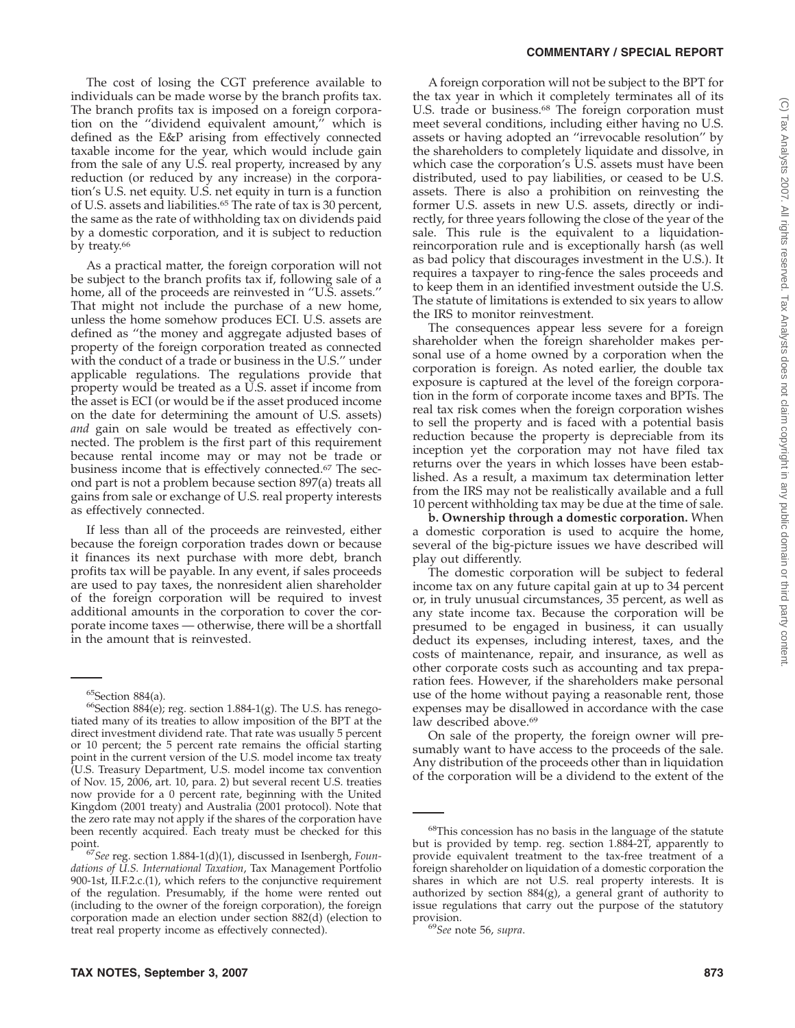The cost of losing the CGT preference available to individuals can be made worse by the branch profits tax. The branch profits tax is imposed on a foreign corporation on the ''dividend equivalent amount,'' which is defined as the E&P arising from effectively connected taxable income for the year, which would include gain from the sale of any U.S. real property, increased by any reduction (or reduced by any increase) in the corporation's U.S. net equity. U.S. net equity in turn is a function of U.S. assets and liabilities.65 The rate of tax is 30 percent, the same as the rate of withholding tax on dividends paid by a domestic corporation, and it is subject to reduction by treaty.<sup>66</sup>

As a practical matter, the foreign corporation will not be subject to the branch profits tax if, following sale of a home, all of the proceeds are reinvested in ''U.S. assets.'' That might not include the purchase of a new home, unless the home somehow produces ECI. U.S. assets are defined as ''the money and aggregate adjusted bases of property of the foreign corporation treated as connected with the conduct of a trade or business in the U.S.'' under applicable regulations. The regulations provide that property would be treated as a U.S. asset if income from the asset is ECI (or would be if the asset produced income on the date for determining the amount of U.S. assets) *and* gain on sale would be treated as effectively connected. The problem is the first part of this requirement because rental income may or may not be trade or business income that is effectively connected.67 The second part is not a problem because section 897(a) treats all gains from sale or exchange of U.S. real property interests as effectively connected.

If less than all of the proceeds are reinvested, either because the foreign corporation trades down or because it finances its next purchase with more debt, branch profits tax will be payable. In any event, if sales proceeds are used to pay taxes, the nonresident alien shareholder of the foreign corporation will be required to invest additional amounts in the corporation to cover the corporate income taxes — otherwise, there will be a shortfall in the amount that is reinvested.

A foreign corporation will not be subject to the BPT for the tax year in which it completely terminates all of its U.S. trade or business.<sup>68</sup> The foreign corporation must meet several conditions, including either having no U.S. assets or having adopted an ''irrevocable resolution'' by the shareholders to completely liquidate and dissolve, in which case the corporation's U.S. assets must have been distributed, used to pay liabilities, or ceased to be U.S. assets. There is also a prohibition on reinvesting the former U.S. assets in new U.S. assets, directly or indirectly, for three years following the close of the year of the sale. This rule is the equivalent to a liquidationreincorporation rule and is exceptionally harsh (as well as bad policy that discourages investment in the U.S.). It requires a taxpayer to ring-fence the sales proceeds and to keep them in an identified investment outside the U.S. The statute of limitations is extended to six years to allow the IRS to monitor reinvestment.

The consequences appear less severe for a foreign shareholder when the foreign shareholder makes personal use of a home owned by a corporation when the corporation is foreign. As noted earlier, the double tax exposure is captured at the level of the foreign corporation in the form of corporate income taxes and BPTs. The real tax risk comes when the foreign corporation wishes to sell the property and is faced with a potential basis reduction because the property is depreciable from its inception yet the corporation may not have filed tax returns over the years in which losses have been established. As a result, a maximum tax determination letter from the IRS may not be realistically available and a full 10 percent withholding tax may be due at the time of sale.

**b. Ownership through a domestic corporation.** When a domestic corporation is used to acquire the home, several of the big-picture issues we have described will play out differently.

The domestic corporation will be subject to federal income tax on any future capital gain at up to 34 percent or, in truly unusual circumstances, 35 percent, as well as any state income tax. Because the corporation will be presumed to be engaged in business, it can usually deduct its expenses, including interest, taxes, and the costs of maintenance, repair, and insurance, as well as other corporate costs such as accounting and tax preparation fees. However, if the shareholders make personal use of the home without paying a reasonable rent, those expenses may be disallowed in accordance with the case law described above.<sup>69</sup>

On sale of the property, the foreign owner will presumably want to have access to the proceeds of the sale. Any distribution of the proceeds other than in liquidation of the corporation will be a dividend to the extent of the

<sup>&</sup>lt;sup>65</sup>Section 884(a).<br><sup>66</sup>Section 884(e); reg. section 1.884-1(g). The U.S. has renegotiated many of its treaties to allow imposition of the BPT at the direct investment dividend rate. That rate was usually 5 percent or 10 percent; the 5 percent rate remains the official starting point in the current version of the U.S. model income tax treaty (U.S. Treasury Department, U.S. model income tax convention of Nov. 15, 2006, art. 10, para. 2) but several recent U.S. treaties now provide for a 0 percent rate, beginning with the United Kingdom (2001 treaty) and Australia (2001 protocol). Note that the zero rate may not apply if the shares of the corporation have been recently acquired. Each treaty must be checked for this

point. <sup>67</sup>*See* reg. section 1.884-1(d)(1), discussed in Isenbergh, *Foundations of U.S. International Taxation*, Tax Management Portfolio 900-1st, II.F.2.c.(1), which refers to the conjunctive requirement of the regulation. Presumably, if the home were rented out (including to the owner of the foreign corporation), the foreign corporation made an election under section 882(d) (election to treat real property income as effectively connected).

<sup>&</sup>lt;sup>68</sup>This concession has no basis in the language of the statute but is provided by temp. reg. section 1.884-2T, apparently to provide equivalent treatment to the tax-free treatment of a foreign shareholder on liquidation of a domestic corporation the shares in which are not U.S. real property interests. It is authorized by section 884(g), a general grant of authority to issue regulations that carry out the purpose of the statutory provision. <sup>69</sup>*See* note 56, *supra*.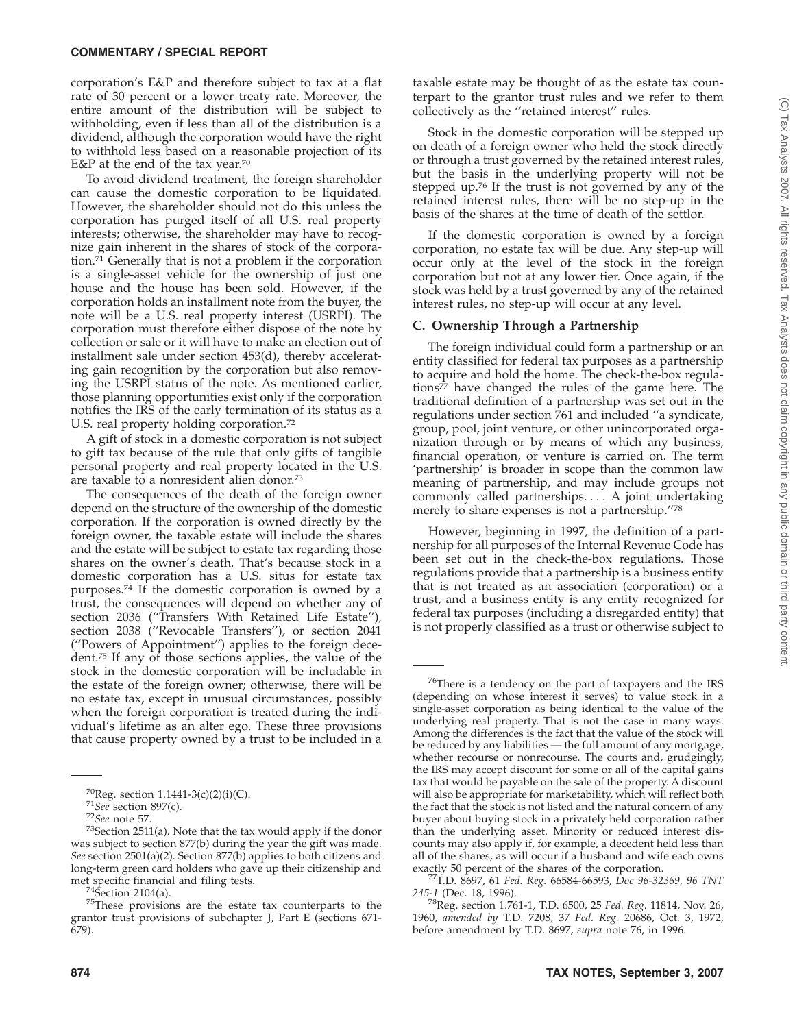corporation's E&P and therefore subject to tax at a flat rate of 30 percent or a lower treaty rate. Moreover, the entire amount of the distribution will be subject to withholding, even if less than all of the distribution is a dividend, although the corporation would have the right to withhold less based on a reasonable projection of its E&P at the end of the tax year.<sup>70</sup>

To avoid dividend treatment, the foreign shareholder can cause the domestic corporation to be liquidated. However, the shareholder should not do this unless the corporation has purged itself of all U.S. real property interests; otherwise, the shareholder may have to recognize gain inherent in the shares of stock of the corporation.71 Generally that is not a problem if the corporation is a single-asset vehicle for the ownership of just one house and the house has been sold. However, if the corporation holds an installment note from the buyer, the note will be a U.S. real property interest (USRPI). The corporation must therefore either dispose of the note by collection or sale or it will have to make an election out of installment sale under section 453(d), thereby accelerating gain recognition by the corporation but also removing the USRPI status of the note. As mentioned earlier, those planning opportunities exist only if the corporation notifies the IRS of the early termination of its status as a U.S. real property holding corporation.<sup>72</sup>

A gift of stock in a domestic corporation is not subject to gift tax because of the rule that only gifts of tangible personal property and real property located in the U.S. are taxable to a nonresident alien donor.73

The consequences of the death of the foreign owner depend on the structure of the ownership of the domestic corporation. If the corporation is owned directly by the foreign owner, the taxable estate will include the shares and the estate will be subject to estate tax regarding those shares on the owner's death. That's because stock in a domestic corporation has a U.S. situs for estate tax purposes.74 If the domestic corporation is owned by a trust, the consequences will depend on whether any of section 2036 ("Transfers With Retained Life Estate"), section 2038 (''Revocable Transfers''), or section 2041 (''Powers of Appointment'') applies to the foreign decedent.75 If any of those sections applies, the value of the stock in the domestic corporation will be includable in the estate of the foreign owner; otherwise, there will be no estate tax, except in unusual circumstances, possibly when the foreign corporation is treated during the individual's lifetime as an alter ego. These three provisions that cause property owned by a trust to be included in a

taxable estate may be thought of as the estate tax counterpart to the grantor trust rules and we refer to them collectively as the ''retained interest'' rules.

Stock in the domestic corporation will be stepped up on death of a foreign owner who held the stock directly or through a trust governed by the retained interest rules, but the basis in the underlying property will not be stepped up.76 If the trust is not governed by any of the retained interest rules, there will be no step-up in the basis of the shares at the time of death of the settlor.

If the domestic corporation is owned by a foreign corporation, no estate tax will be due. Any step-up will occur only at the level of the stock in the foreign corporation but not at any lower tier. Once again, if the stock was held by a trust governed by any of the retained interest rules, no step-up will occur at any level.

#### **C. Ownership Through a Partnership**

The foreign individual could form a partnership or an entity classified for federal tax purposes as a partnership to acquire and hold the home. The check-the-box regulations<sup>77</sup> have changed the rules of the game here. The traditional definition of a partnership was set out in the regulations under section 761 and included ''a syndicate, group, pool, joint venture, or other unincorporated organization through or by means of which any business, financial operation, or venture is carried on. The term 'partnership' is broader in scope than the common law meaning of partnership, and may include groups not commonly called partnerships.... A joint undertaking merely to share expenses is not a partnership.''78

However, beginning in 1997, the definition of a partnership for all purposes of the Internal Revenue Code has been set out in the check-the-box regulations. Those regulations provide that a partnership is a business entity that is not treated as an association (corporation) or a trust, and a business entity is any entity recognized for federal tax purposes (including a disregarded entity) that is not properly classified as a trust or otherwise subject to

<sup>&</sup>lt;sup>70</sup>Reg. section 1.1441-3(c)(2)(i)(C).<br><sup>71</sup>*See* section 897(c).<br><sup>72</sup>*See* note 57.<br><sup>73</sup>Section 2511(a). Note that the tax would apply if the donor was subject to section 877(b) during the year the gift was made. *See* section 2501(a)(2). Section 877(b) applies to both citizens and long-term green card holders who gave up their citizenship and met specific financial and filing tests.

<sup>&</sup>lt;sup>74</sup>Section 2104(a). <sup>74</sup>Section 2104(a). <sup>75</sup>These provisions are the estate tax counterparts to the grantor trust provisions of subchapter J, Part E (sections 671- 679).

<sup>&</sup>lt;sup>76</sup>There is a tendency on the part of taxpayers and the IRS (depending on whose interest it serves) to value stock in a single-asset corporation as being identical to the value of the underlying real property. That is not the case in many ways. Among the differences is the fact that the value of the stock will be reduced by any liabilities — the full amount of any mortgage, whether recourse or nonrecourse. The courts and, grudgingly, the IRS may accept discount for some or all of the capital gains tax that would be payable on the sale of the property. A discount will also be appropriate for marketability, which will reflect both the fact that the stock is not listed and the natural concern of any buyer about buying stock in a privately held corporation rather than the underlying asset. Minority or reduced interest discounts may also apply if, for example, a decedent held less than all of the shares, as will occur if a husband and wife each owns exactly 50 percent of the shares of the corporation.

exactly 50 percent of the shares of the corporation. 77T.D. 8697, 61 *Fed. Reg.* 66584-66593, *Doc 96-32369, 96 TNT*

*<sup>245-1</sup>* (Dec. 18, 1996). 78Reg. section 1.761-1, T.D. 6500, 25 *Fed. Reg.* 11814, Nov. 26, 1960, *amended by* T.D. 7208, 37 *Fed. Reg.* 20686, Oct. 3, 1972, before amendment by T.D. 8697, *supra* note 76, in 1996.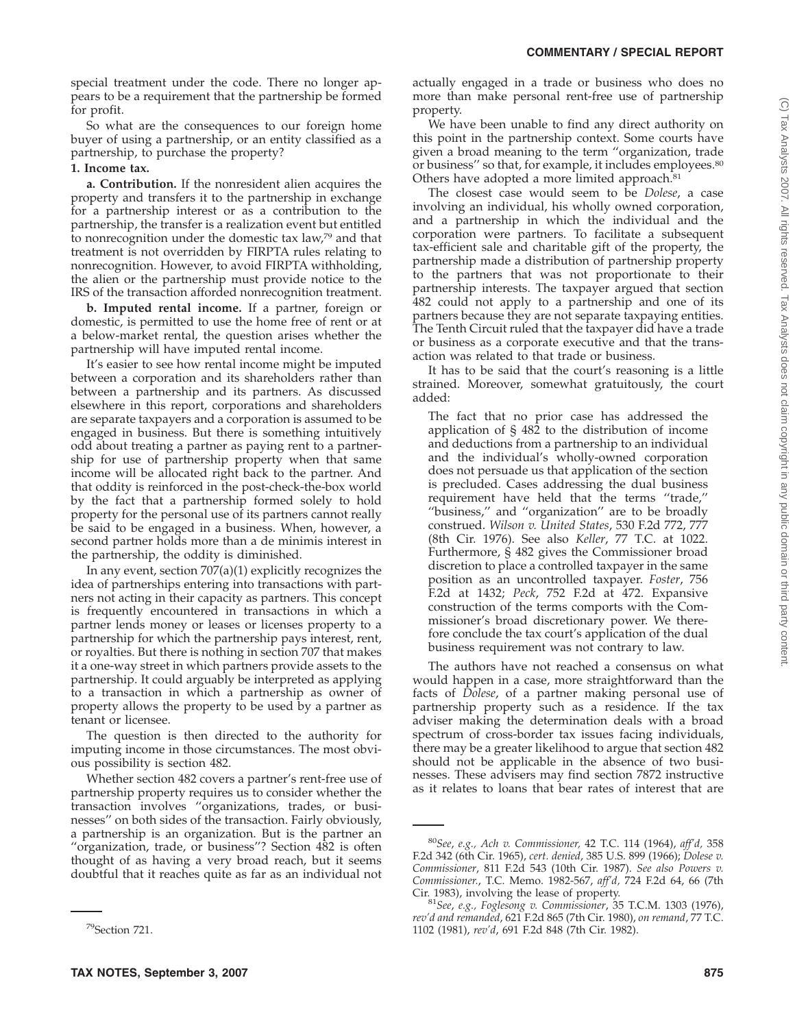special treatment under the code. There no longer appears to be a requirement that the partnership be formed for profit.

So what are the consequences to our foreign home buyer of using a partnership, or an entity classified as a partnership, to purchase the property?

#### **1. Income tax.**

**a. Contribution.** If the nonresident alien acquires the property and transfers it to the partnership in exchange for a partnership interest or as a contribution to the partnership, the transfer is a realization event but entitled to nonrecognition under the domestic tax law,79 and that treatment is not overridden by FIRPTA rules relating to nonrecognition. However, to avoid FIRPTA withholding, the alien or the partnership must provide notice to the IRS of the transaction afforded nonrecognition treatment.

**b. Imputed rental income.** If a partner, foreign or domestic, is permitted to use the home free of rent or at a below-market rental, the question arises whether the partnership will have imputed rental income.

It's easier to see how rental income might be imputed between a corporation and its shareholders rather than between a partnership and its partners. As discussed elsewhere in this report, corporations and shareholders are separate taxpayers and a corporation is assumed to be engaged in business. But there is something intuitively odd about treating a partner as paying rent to a partnership for use of partnership property when that same income will be allocated right back to the partner. And that oddity is reinforced in the post-check-the-box world by the fact that a partnership formed solely to hold property for the personal use of its partners cannot really be said to be engaged in a business. When, however, a second partner holds more than a de minimis interest in the partnership, the oddity is diminished.

In any event, section 707(a)(1) explicitly recognizes the idea of partnerships entering into transactions with partners not acting in their capacity as partners. This concept is frequently encountered in transactions in which a partner lends money or leases or licenses property to a partnership for which the partnership pays interest, rent, or royalties. But there is nothing in section 707 that makes it a one-way street in which partners provide assets to the partnership. It could arguably be interpreted as applying to a transaction in which a partnership as owner of property allows the property to be used by a partner as tenant or licensee.

The question is then directed to the authority for imputing income in those circumstances. The most obvious possibility is section 482.

Whether section 482 covers a partner's rent-free use of partnership property requires us to consider whether the transaction involves ''organizations, trades, or businesses'' on both sides of the transaction. Fairly obviously, a partnership is an organization. But is the partner an "organization, trade, or business"? Section 482 is often thought of as having a very broad reach, but it seems doubtful that it reaches quite as far as an individual not

actually engaged in a trade or business who does no more than make personal rent-free use of partnership property.

We have been unable to find any direct authority on this point in the partnership context. Some courts have given a broad meaning to the term ''organization, trade or business" so that, for example, it includes employees.<sup>80</sup> Others have adopted a more limited approach.<sup>81</sup>

The closest case would seem to be *Dolese*, a case involving an individual, his wholly owned corporation, and a partnership in which the individual and the corporation were partners. To facilitate a subsequent tax-efficient sale and charitable gift of the property, the partnership made a distribution of partnership property to the partners that was not proportionate to their partnership interests. The taxpayer argued that section 482 could not apply to a partnership and one of its partners because they are not separate taxpaying entities. The Tenth Circuit ruled that the taxpayer did have a trade or business as a corporate executive and that the transaction was related to that trade or business.

It has to be said that the court's reasoning is a little strained. Moreover, somewhat gratuitously, the court added:

The fact that no prior case has addressed the application of § 482 to the distribution of income and deductions from a partnership to an individual and the individual's wholly-owned corporation does not persuade us that application of the section is precluded. Cases addressing the dual business requirement have held that the terms ''trade,'' "business," and "organization" are to be broadly construed. *Wilson v. United States*, 530 F.2d 772, 777 (8th Cir. 1976). See also *Keller*, 77 T.C. at 1022. Furthermore, § 482 gives the Commissioner broad discretion to place a controlled taxpayer in the same position as an uncontrolled taxpayer. *Foster*, 756 F.2d at 1432; *Peck*, 752 F.2d at 472. Expansive construction of the terms comports with the Commissioner's broad discretionary power. We therefore conclude the tax court's application of the dual business requirement was not contrary to law.

The authors have not reached a consensus on what would happen in a case, more straightforward than the facts of *Dolese*, of a partner making personal use of partnership property such as a residence. If the tax adviser making the determination deals with a broad spectrum of cross-border tax issues facing individuals, there may be a greater likelihood to argue that section 482 should not be applicable in the absence of two businesses. These advisers may find section 7872 instructive as it relates to loans that bear rates of interest that are

<sup>79</sup>Section 721.

<sup>80</sup>*See*, *e.g., Ach v. Commissioner,* 42 T.C. 114 (1964), *aff'd,* 358 F.2d 342 (6th Cir. 1965), *cert. denied*, 385 U.S. 899 (1966); *Dolese v. Commissioner*, 811 F.2d 543 (10th Cir. 1987). *See also Powers v. Commissioner.*, T.C. Memo. 1982-567, *aff'd,* 724 F.2d 64, 66 (7th

Cir. 1983), involving the lease of property. <sup>81</sup>*See*, *e.g., Foglesong v. Commissioner*, 35 T.C.M. 1303 (1976), *rev'd and remanded*, 621 F.2d 865 (7th Cir. 1980), *on remand*, 77 T.C. 1102 (1981), *rev'd*, 691 F.2d 848 (7th Cir. 1982).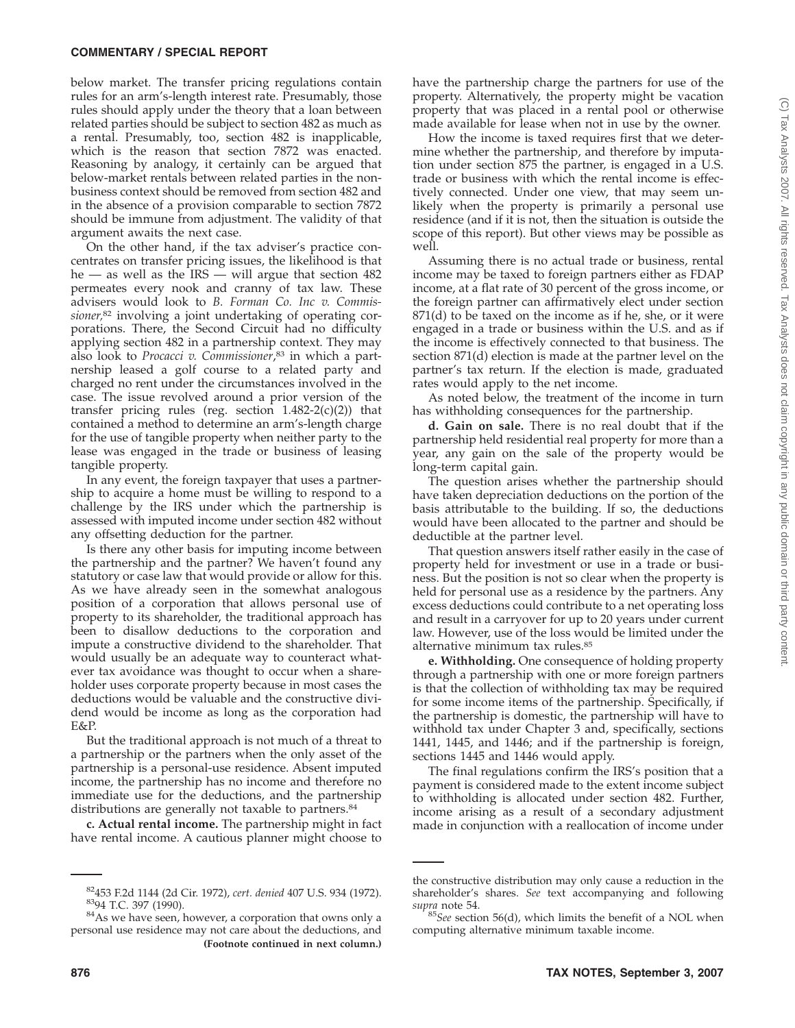below market. The transfer pricing regulations contain rules for an arm's-length interest rate. Presumably, those rules should apply under the theory that a loan between related parties should be subject to section 482 as much as a rental. Presumably, too, section 482 is inapplicable, which is the reason that section 7872 was enacted. Reasoning by analogy, it certainly can be argued that below-market rentals between related parties in the nonbusiness context should be removed from section 482 and in the absence of a provision comparable to section 7872 should be immune from adjustment. The validity of that argument awaits the next case.

On the other hand, if the tax adviser's practice concentrates on transfer pricing issues, the likelihood is that he — as well as the IRS — will argue that section 482 permeates every nook and cranny of tax law. These advisers would look to *B. Forman Co. Inc v. Commissioner,*<sup>82</sup> involving a joint undertaking of operating corporations. There, the Second Circuit had no difficulty applying section 482 in a partnership context. They may also look to *Procacci v. Commissioner*, <sup>83</sup> in which a partnership leased a golf course to a related party and charged no rent under the circumstances involved in the case. The issue revolved around a prior version of the transfer pricing rules (reg. section  $1.482-2(c)(2)$ ) that contained a method to determine an arm's-length charge for the use of tangible property when neither party to the lease was engaged in the trade or business of leasing tangible property.

In any event, the foreign taxpayer that uses a partnership to acquire a home must be willing to respond to a challenge by the IRS under which the partnership is assessed with imputed income under section 482 without any offsetting deduction for the partner.

Is there any other basis for imputing income between the partnership and the partner? We haven't found any statutory or case law that would provide or allow for this. As we have already seen in the somewhat analogous position of a corporation that allows personal use of property to its shareholder, the traditional approach has been to disallow deductions to the corporation and impute a constructive dividend to the shareholder. That would usually be an adequate way to counteract whatever tax avoidance was thought to occur when a shareholder uses corporate property because in most cases the deductions would be valuable and the constructive dividend would be income as long as the corporation had E&P.

But the traditional approach is not much of a threat to a partnership or the partners when the only asset of the partnership is a personal-use residence. Absent imputed income, the partnership has no income and therefore no immediate use for the deductions, and the partnership distributions are generally not taxable to partners.<sup>84</sup>

**c. Actual rental income.** The partnership might in fact have rental income. A cautious planner might choose to have the partnership charge the partners for use of the property. Alternatively, the property might be vacation property that was placed in a rental pool or otherwise made available for lease when not in use by the owner.

How the income is taxed requires first that we determine whether the partnership, and therefore by imputation under section 875 the partner, is engaged in a U.S. trade or business with which the rental income is effectively connected. Under one view, that may seem unlikely when the property is primarily a personal use residence (and if it is not, then the situation is outside the scope of this report). But other views may be possible as well.

Assuming there is no actual trade or business, rental income may be taxed to foreign partners either as FDAP income, at a flat rate of 30 percent of the gross income, or the foreign partner can affirmatively elect under section  $871(d)$  to be taxed on the income as if he, she, or it were engaged in a trade or business within the U.S. and as if the income is effectively connected to that business. The section 871(d) election is made at the partner level on the partner's tax return. If the election is made, graduated rates would apply to the net income.

As noted below, the treatment of the income in turn has withholding consequences for the partnership.

**d. Gain on sale.** There is no real doubt that if the partnership held residential real property for more than a year, any gain on the sale of the property would be long-term capital gain.

The question arises whether the partnership should have taken depreciation deductions on the portion of the basis attributable to the building. If so, the deductions would have been allocated to the partner and should be deductible at the partner level.

That question answers itself rather easily in the case of property held for investment or use in a trade or business. But the position is not so clear when the property is held for personal use as a residence by the partners. Any excess deductions could contribute to a net operating loss and result in a carryover for up to 20 years under current law. However, use of the loss would be limited under the alternative minimum tax rules.85

**e. Withholding.** One consequence of holding property through a partnership with one or more foreign partners is that the collection of withholding tax may be required for some income items of the partnership. Specifically, if the partnership is domestic, the partnership will have to withhold tax under Chapter 3 and, specifically, sections 1441, 1445, and 1446; and if the partnership is foreign, sections 1445 and 1446 would apply.

The final regulations confirm the IRS's position that a payment is considered made to the extent income subject to withholding is allocated under section 482. Further, income arising as a result of a secondary adjustment made in conjunction with a reallocation of income under

<sup>&</sup>lt;sup>82</sup>453 F.2d 1144 (2d Cir. 1972), *cert. denied* 407 U.S. 934 (1972).<br><sup>83</sup>94 T.C. 397 (1990).<br><sup>84</sup>As we have seen, however, a corporation that owns only a

personal use residence may not care about the deductions, and **(Footnote continued in next column.)**

the constructive distribution may only cause a reduction in the shareholder's shares. *See* text accompanying and following

<sup>&</sup>lt;sup>85</sup>See section 56(d), which limits the benefit of a NOL when computing alternative minimum taxable income.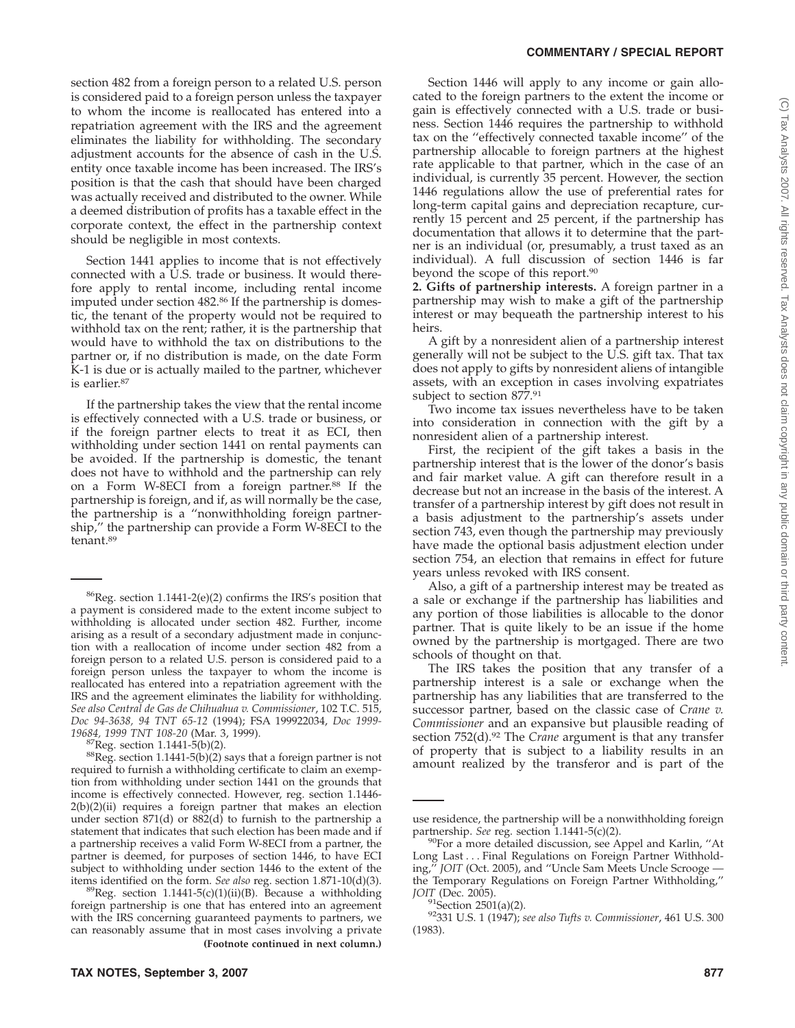section 482 from a foreign person to a related U.S. person is considered paid to a foreign person unless the taxpayer to whom the income is reallocated has entered into a repatriation agreement with the IRS and the agreement eliminates the liability for withholding. The secondary adjustment accounts for the absence of cash in the U.S. entity once taxable income has been increased. The IRS's position is that the cash that should have been charged was actually received and distributed to the owner. While a deemed distribution of profits has a taxable effect in the corporate context, the effect in the partnership context should be negligible in most contexts.

Section 1441 applies to income that is not effectively connected with a U.S. trade or business. It would therefore apply to rental income, including rental income imputed under section 482.86 If the partnership is domestic, the tenant of the property would not be required to withhold tax on the rent; rather, it is the partnership that would have to withhold the tax on distributions to the partner or, if no distribution is made, on the date Form K-1 is due or is actually mailed to the partner, whichever is earlier.87

If the partnership takes the view that the rental income is effectively connected with a U.S. trade or business, or if the foreign partner elects to treat it as ECI, then withholding under section 1441 on rental payments can be avoided. If the partnership is domestic, the tenant does not have to withhold and the partnership can rely on a Form W-8ECI from a foreign partner.88 If the partnership is foreign, and if, as will normally be the case, the partnership is a ''nonwithholding foreign partnership,'' the partnership can provide a Form W-8ECI to the tenant.89

 ${}^{86}$ Reg. section 1.1441-2(e)(2) confirms the IRS's position that a payment is considered made to the extent income subject to withholding is allocated under section 482. Further, income arising as a result of a secondary adjustment made in conjunction with a reallocation of income under section 482 from a foreign person to a related U.S. person is considered paid to a foreign person unless the taxpayer to whom the income is reallocated has entered into a repatriation agreement with the IRS and the agreement eliminates the liability for withholding. *See also Central de Gas de Chihuahua v. Commissioner*, 102 T.C. 515, *Doc 94-3638, 94 TNT 65-12* (1994); FSA 199922034, *Doc 1999-*

<sup>87</sup>Reg. section 1.1441-5(b)(2).<br><sup>88</sup>Reg. section 1.1441-5(b)(2) says that a foreign partner is not required to furnish a withholding certificate to claim an exemption from withholding under section 1441 on the grounds that income is effectively connected. However, reg. section 1.1446- 2(b)(2)(ii) requires a foreign partner that makes an election under section  $871(d)$  or  $882(d)$  to furnish to the partnership a statement that indicates that such election has been made and if a partnership receives a valid Form W-8ECI from a partner, the partner is deemed, for purposes of section 1446, to have ECI subject to withholding under section 1446 to the extent of the items identified on the form. See also reg. section 1.871-10(d)(3).

<sup>89</sup>Reg. section 1.1441-5(c)(1)(ii)(B). Because a withholding foreign partnership is one that has entered into an agreement with the IRS concerning guaranteed payments to partners, we can reasonably assume that in most cases involving a private **(Footnote continued in next column.)**

Section 1446 will apply to any income or gain allocated to the foreign partners to the extent the income or gain is effectively connected with a U.S. trade or business. Section 1446 requires the partnership to withhold tax on the ''effectively connected taxable income'' of the partnership allocable to foreign partners at the highest rate applicable to that partner, which in the case of an individual, is currently 35 percent. However, the section 1446 regulations allow the use of preferential rates for long-term capital gains and depreciation recapture, currently 15 percent and 25 percent, if the partnership has documentation that allows it to determine that the partner is an individual (or, presumably, a trust taxed as an individual). A full discussion of section 1446 is far beyond the scope of this report.90

**2. Gifts of partnership interests.** A foreign partner in a partnership may wish to make a gift of the partnership interest or may bequeath the partnership interest to his heirs.

A gift by a nonresident alien of a partnership interest generally will not be subject to the U.S. gift tax. That tax does not apply to gifts by nonresident aliens of intangible assets, with an exception in cases involving expatriates subject to section 877.91

Two income tax issues nevertheless have to be taken into consideration in connection with the gift by a nonresident alien of a partnership interest.

First, the recipient of the gift takes a basis in the partnership interest that is the lower of the donor's basis and fair market value. A gift can therefore result in a decrease but not an increase in the basis of the interest. A transfer of a partnership interest by gift does not result in a basis adjustment to the partnership's assets under section 743, even though the partnership may previously have made the optional basis adjustment election under section 754, an election that remains in effect for future years unless revoked with IRS consent.

Also, a gift of a partnership interest may be treated as a sale or exchange if the partnership has liabilities and any portion of those liabilities is allocable to the donor partner. That is quite likely to be an issue if the home owned by the partnership is mortgaged. There are two schools of thought on that.

The IRS takes the position that any transfer of a partnership interest is a sale or exchange when the partnership has any liabilities that are transferred to the successor partner, based on the classic case of *Crane v. Commissioner* and an expansive but plausible reading of section 752(d).92 The *Crane* argument is that any transfer of property that is subject to a liability results in an amount realized by the transferor and is part of the

use residence, the partnership will be a nonwithholding foreign

partnership. *See* reg. section 1.1441-5(c)(2).<br><sup>90</sup>For a more detailed discussion, see Appel and Karlin, "At Long Last... Final Regulations on Foreign Partner Withholding,'' *JOIT* (Oct. 2005), and ''Uncle Sam Meets Uncle Scrooge the Temporary Regulations on Foreign Partner Withholding,''

*JOIT* (Dec. 2005).<br><sup>91</sup>Section 2501(a)(2).<br><sup>92</sup>331 U.S. 1 (1947); *see also Tufts v. Commissioner*, 461 U.S. 300 (1983).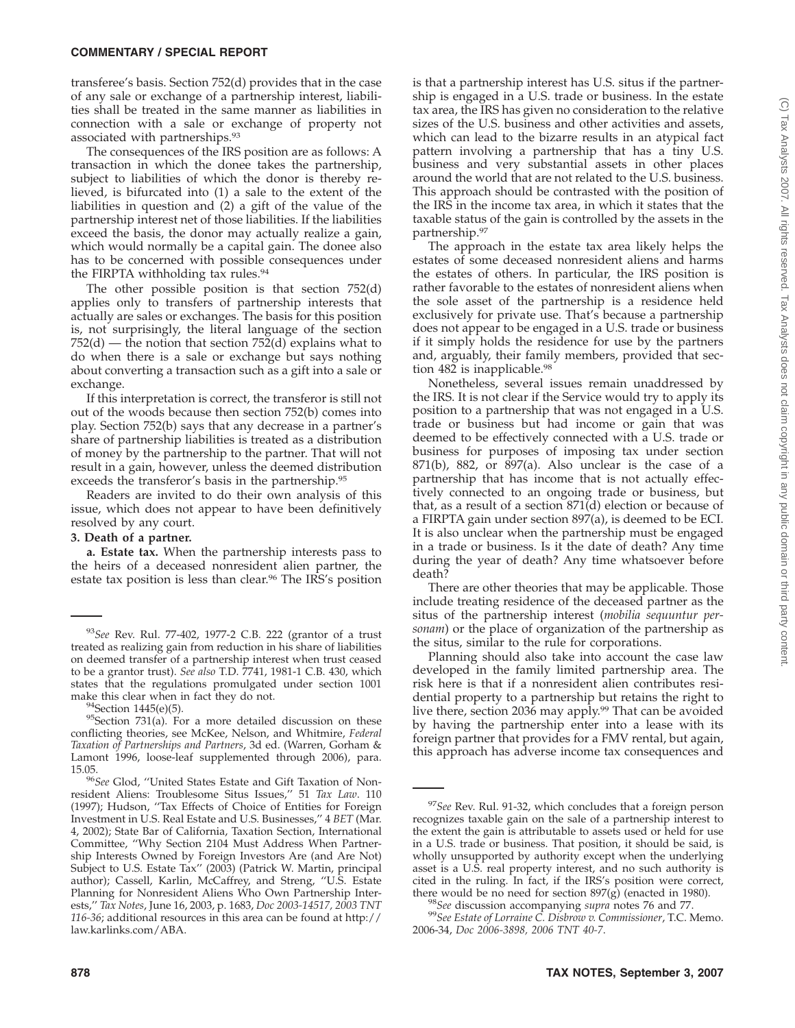transferee's basis. Section 752(d) provides that in the case of any sale or exchange of a partnership interest, liabilities shall be treated in the same manner as liabilities in connection with a sale or exchange of property not associated with partnerships.93

The consequences of the IRS position are as follows: A transaction in which the donee takes the partnership, subject to liabilities of which the donor is thereby relieved, is bifurcated into (1) a sale to the extent of the liabilities in question and (2) a gift of the value of the partnership interest net of those liabilities. If the liabilities exceed the basis, the donor may actually realize a gain, which would normally be a capital gain. The donee also has to be concerned with possible consequences under the FIRPTA withholding tax rules.<sup>94</sup>

The other possible position is that section 752(d) applies only to transfers of partnership interests that actually are sales or exchanges. The basis for this position is, not surprisingly, the literal language of the section  $752(d)$  — the notion that section  $752(d)$  explains what to do when there is a sale or exchange but says nothing about converting a transaction such as a gift into a sale or exchange.

If this interpretation is correct, the transferor is still not out of the woods because then section 752(b) comes into play. Section 752(b) says that any decrease in a partner's share of partnership liabilities is treated as a distribution of money by the partnership to the partner. That will not result in a gain, however, unless the deemed distribution exceeds the transferor's basis in the partnership.95

Readers are invited to do their own analysis of this issue, which does not appear to have been definitively resolved by any court.

## **3. Death of a partner.**

**a. Estate tax.** When the partnership interests pass to the heirs of a deceased nonresident alien partner, the estate tax position is less than clear.<sup>96</sup> The IRS's position

is that a partnership interest has U.S. situs if the partnership is engaged in a U.S. trade or business. In the estate tax area, the IRS has given no consideration to the relative sizes of the U.S. business and other activities and assets, which can lead to the bizarre results in an atypical fact pattern involving a partnership that has a tiny U.S. business and very substantial assets in other places around the world that are not related to the U.S. business. This approach should be contrasted with the position of the IRS in the income tax area, in which it states that the taxable status of the gain is controlled by the assets in the partnership.97

The approach in the estate tax area likely helps the estates of some deceased nonresident aliens and harms the estates of others. In particular, the IRS position is rather favorable to the estates of nonresident aliens when the sole asset of the partnership is a residence held exclusively for private use. That's because a partnership does not appear to be engaged in a U.S. trade or business if it simply holds the residence for use by the partners and, arguably, their family members, provided that section 482 is inapplicable.<sup>98</sup>

Nonetheless, several issues remain unaddressed by the IRS. It is not clear if the Service would try to apply its position to a partnership that was not engaged in a U.S. trade or business but had income or gain that was deemed to be effectively connected with a U.S. trade or business for purposes of imposing tax under section 871(b), 882, or 897(a). Also unclear is the case of a partnership that has income that is not actually effectively connected to an ongoing trade or business, but that, as a result of a section 871(d) election or because of a FIRPTA gain under section 897(a), is deemed to be ECI. It is also unclear when the partnership must be engaged in a trade or business. Is it the date of death? Any time during the year of death? Any time whatsoever before death?

There are other theories that may be applicable. Those include treating residence of the deceased partner as the situs of the partnership interest (*mobilia sequuntur personam*) or the place of organization of the partnership as the situs, similar to the rule for corporations.

Planning should also take into account the case law developed in the family limited partnership area. The risk here is that if a nonresident alien contributes residential property to a partnership but retains the right to live there, section 2036 may apply.<sup>99</sup> That can be avoided by having the partnership enter into a lease with its foreign partner that provides for a FMV rental, but again, this approach has adverse income tax consequences and

<sup>93</sup>*See* Rev. Rul. 77-402, 1977-2 C.B. 222 (grantor of a trust treated as realizing gain from reduction in his share of liabilities on deemed transfer of a partnership interest when trust ceased to be a grantor trust). *See also* T.D. 7741, 1981-1 C.B. 430, which states that the regulations promulgated under section 1001 make this clear when in fact they do not.<br><sup>94</sup>Section 1445(e)(5).<br><sup>95</sup>Section 731(a). For a more detailed discussion on these

conflicting theories, see McKee, Nelson, and Whitmire, *Federal Taxation of Partnerships and Partners*, 3d ed. (Warren, Gorham & Lamont 1996, loose-leaf supplemented through 2006), para.

<sup>15.05.</sup> <sup>96</sup>*See* Glod, ''United States Estate and Gift Taxation of Nonresident Aliens: Troublesome Situs Issues,'' 51 *Tax Law*. 110 (1997); Hudson, ''Tax Effects of Choice of Entities for Foreign Investment in U.S. Real Estate and U.S. Businesses,'' 4 *BET* (Mar. 4, 2002); State Bar of California, Taxation Section, International Committee, ''Why Section 2104 Must Address When Partnership Interests Owned by Foreign Investors Are (and Are Not) Subject to U.S. Estate Tax'' (2003) (Patrick W. Martin, principal author); Cassell, Karlin, McCaffrey, and Streng, ''U.S. Estate Planning for Nonresident Aliens Who Own Partnership Interests,'' *Tax Notes*, June 16, 2003, p. 1683, *Doc 2003-14517, 2003 TNT 116-36*; additional resources in this area can be found at http:// law.karlinks.com/ABA.

<sup>97</sup>*See* Rev. Rul. 91-32, which concludes that a foreign person recognizes taxable gain on the sale of a partnership interest to the extent the gain is attributable to assets used or held for use in a U.S. trade or business. That position, it should be said, is wholly unsupported by authority except when the underlying asset is a U.S. real property interest, and no such authority is cited in the ruling. In fact, if the IRS's position were correct,

there would be no need for section 897(g) (enacted in 1980).<br><sup>98</sup>*See* discussion accompanying *supra* notes 76 and 77.<br><sup>99</sup>*See Estate of Lorraine C. Disbrow v. Commissioner*, T.C. Memo. 2006-34, *Doc 2006-3898, 2006 TNT 40-7*.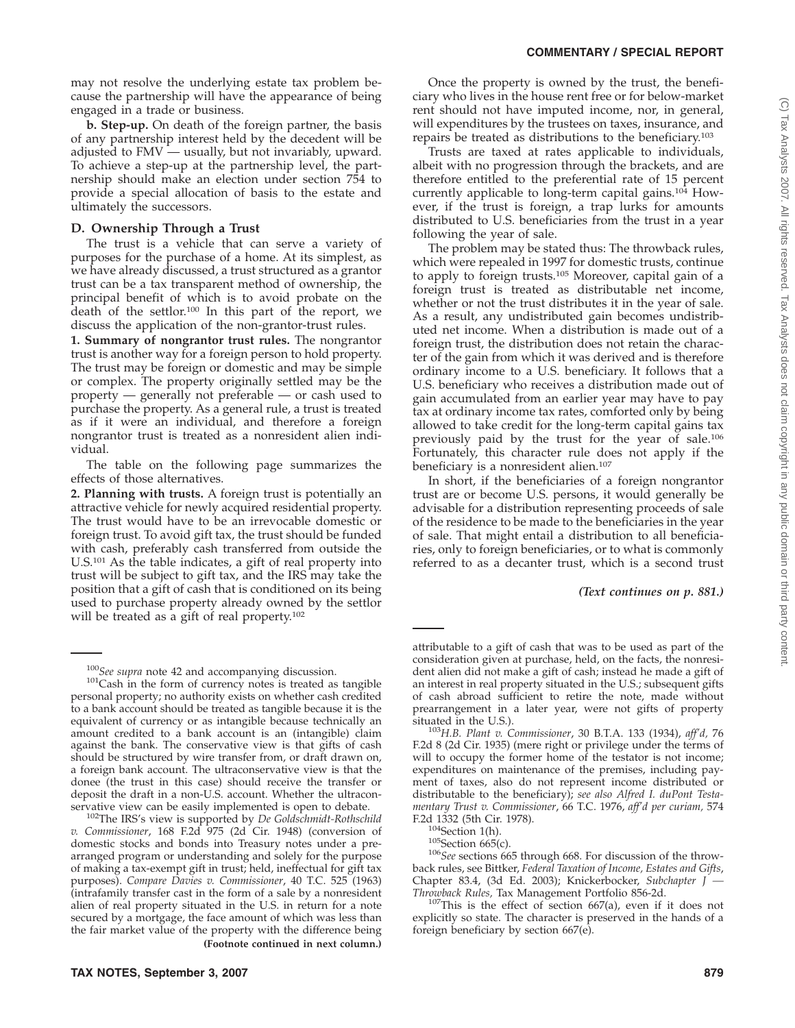may not resolve the underlying estate tax problem because the partnership will have the appearance of being engaged in a trade or business.

**b. Step-up.** On death of the foreign partner, the basis of any partnership interest held by the decedent will be adjusted to FMV — usually, but not invariably, upward. To achieve a step-up at the partnership level, the partnership should make an election under section 754 to provide a special allocation of basis to the estate and ultimately the successors.

## **D. Ownership Through a Trust**

The trust is a vehicle that can serve a variety of purposes for the purchase of a home. At its simplest, as we have already discussed, a trust structured as a grantor trust can be a tax transparent method of ownership, the principal benefit of which is to avoid probate on the death of the settlor.100 In this part of the report, we discuss the application of the non-grantor-trust rules.

**1. Summary of nongrantor trust rules.** The nongrantor trust is another way for a foreign person to hold property. The trust may be foreign or domestic and may be simple or complex. The property originally settled may be the property — generally not preferable — or cash used to purchase the property. As a general rule, a trust is treated as if it were an individual, and therefore a foreign nongrantor trust is treated as a nonresident alien individual.

The table on the following page summarizes the effects of those alternatives.

**2. Planning with trusts.** A foreign trust is potentially an attractive vehicle for newly acquired residential property. The trust would have to be an irrevocable domestic or foreign trust. To avoid gift tax, the trust should be funded with cash, preferably cash transferred from outside the U.S.101 As the table indicates, a gift of real property into trust will be subject to gift tax, and the IRS may take the position that a gift of cash that is conditioned on its being used to purchase property already owned by the settlor will be treated as a gift of real property.<sup>102</sup>

*v. Commissioner*, 168 F.2d 975 (2d Cir. 1948) (conversion of domestic stocks and bonds into Treasury notes under a prearranged program or understanding and solely for the purpose of making a tax-exempt gift in trust; held, ineffectual for gift tax purposes). *Compare Davies v. Commissioner*, 40 T.C. 525 (1963) (intrafamily transfer cast in the form of a sale by a nonresident alien of real property situated in the U.S. in return for a note secured by a mortgage, the face amount of which was less than the fair market value of the property with the difference being **(Footnote continued in next column.)**

Once the property is owned by the trust, the beneficiary who lives in the house rent free or for below-market rent should not have imputed income, nor, in general, will expenditures by the trustees on taxes, insurance, and repairs be treated as distributions to the beneficiary.103

Trusts are taxed at rates applicable to individuals, albeit with no progression through the brackets, and are therefore entitled to the preferential rate of 15 percent currently applicable to long-term capital gains.<sup>104</sup> However, if the trust is foreign, a trap lurks for amounts distributed to U.S. beneficiaries from the trust in a year following the year of sale.

The problem may be stated thus: The throwback rules, which were repealed in 1997 for domestic trusts, continue to apply to foreign trusts.105 Moreover, capital gain of a foreign trust is treated as distributable net income, whether or not the trust distributes it in the year of sale. As a result, any undistributed gain becomes undistributed net income. When a distribution is made out of a foreign trust, the distribution does not retain the character of the gain from which it was derived and is therefore ordinary income to a U.S. beneficiary. It follows that a U.S. beneficiary who receives a distribution made out of gain accumulated from an earlier year may have to pay tax at ordinary income tax rates, comforted only by being allowed to take credit for the long-term capital gains tax previously paid by the trust for the year of sale.106 Fortunately, this character rule does not apply if the beneficiary is a nonresident alien.<sup>107</sup>

In short, if the beneficiaries of a foreign nongrantor trust are or become U.S. persons, it would generally be advisable for a distribution representing proceeds of sale of the residence to be made to the beneficiaries in the year of sale. That might entail a distribution to all beneficiaries, only to foreign beneficiaries, or to what is commonly referred to as a decanter trust, which is a second trust

*(Text continues on p. 881.)*

<sup>&</sup>lt;sup>100</sup>See supra note 42 and accompanying discussion.<br><sup>101</sup>Cash in the form of currency notes is treated as tangible personal property; no authority exists on whether cash credited to a bank account should be treated as tangible because it is the equivalent of currency or as intangible because technically an amount credited to a bank account is an (intangible) claim against the bank. The conservative view is that gifts of cash should be structured by wire transfer from, or draft drawn on, a foreign bank account. The ultraconservative view is that the donee (the trust in this case) should receive the transfer or deposit the draft in a non-U.S. account. Whether the ultraconservative view can be easily implemented is open to debate.<br><sup>102</sup>The IRS's view is supported by *De Goldschmidt-Rothschild* 

attributable to a gift of cash that was to be used as part of the consideration given at purchase, held, on the facts, the nonresident alien did not make a gift of cash; instead he made a gift of an interest in real property situated in the U.S.; subsequent gifts of cash abroad sufficient to retire the note, made without prearrangement in a later year, were not gifts of property situated in the U.S.). <sup>103</sup>*H.B. Plant v. Commissioner*, 30 B.T.A. 133 (1934), *aff'd,* <sup>76</sup>

F.2d 8 (2d Cir. 1935) (mere right or privilege under the terms of will to occupy the former home of the testator is not income; expenditures on maintenance of the premises, including payment of taxes, also do not represent income distributed or distributable to the beneficiary); *see also Alfred I. duPont Testamentary Trust v. Commissioner*, 66 T.C. 1976, *aff'd per curiam,* 574

<sup>&</sup>lt;sup>104</sup>Section 1(h).<br><sup>105</sup>Section 665(c).<br><sup>106</sup>*See* sections 665 through 668. For discussion of the throwback rules, see Bittker, *Federal Taxation of Income, Estates and Gifts*, Chapter 83.4, (3d Ed. 2003); Knickerbocker, *Subchapter J —*

*Throwback Rules,* Tax Management Portfolio 856-2d.<br><sup>107</sup>This is the effect of section 667(a), even if it does not explicitly so state. The character is preserved in the hands of a foreign beneficiary by section 667(e).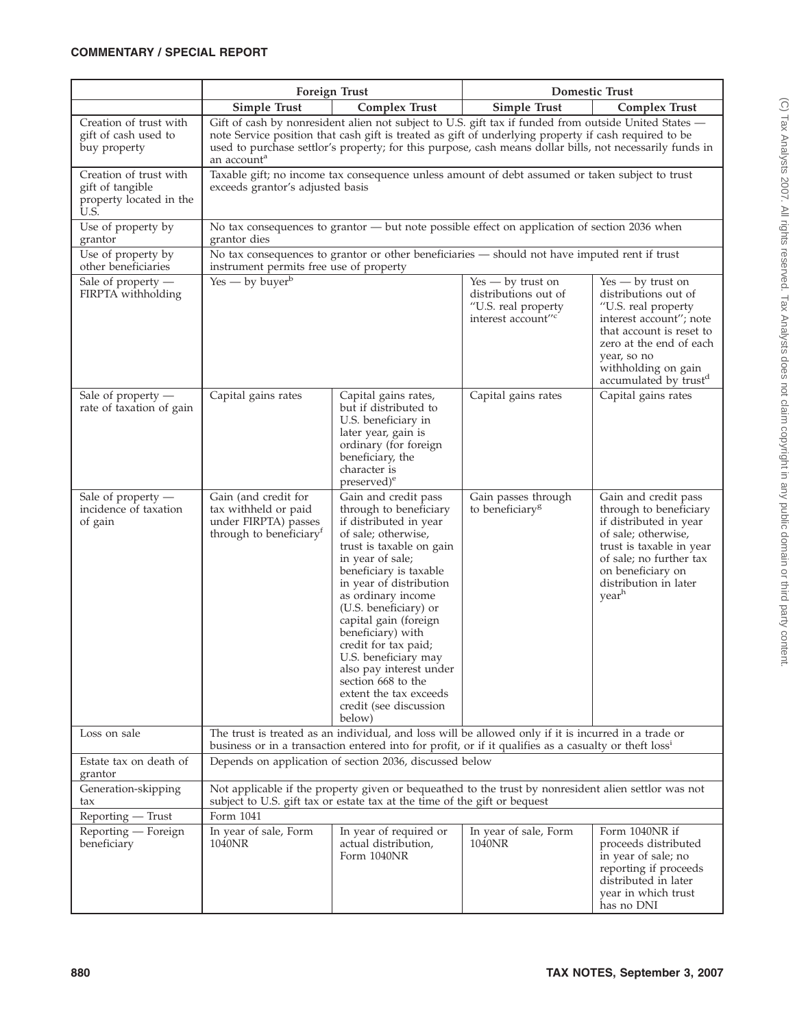|                                                                               | <b>Foreign Trust</b>                                                                                                                                                                                                                                                                                                                                  |                                                                                                                                                                                                                                                                                                                                                                                                                                                                  | <b>Domestic Trust</b>                                                                                |                                                                                                                                                                                                                                 |  |  |  |
|-------------------------------------------------------------------------------|-------------------------------------------------------------------------------------------------------------------------------------------------------------------------------------------------------------------------------------------------------------------------------------------------------------------------------------------------------|------------------------------------------------------------------------------------------------------------------------------------------------------------------------------------------------------------------------------------------------------------------------------------------------------------------------------------------------------------------------------------------------------------------------------------------------------------------|------------------------------------------------------------------------------------------------------|---------------------------------------------------------------------------------------------------------------------------------------------------------------------------------------------------------------------------------|--|--|--|
|                                                                               | Simple Trust                                                                                                                                                                                                                                                                                                                                          | <b>Complex Trust</b>                                                                                                                                                                                                                                                                                                                                                                                                                                             | Simple Trust                                                                                         | <b>Complex Trust</b>                                                                                                                                                                                                            |  |  |  |
| Creation of trust with<br>gift of cash used to<br>buy property                | Gift of cash by nonresident alien not subject to U.S. gift tax if funded from outside United States -<br>note Service position that cash gift is treated as gift of underlying property if cash required to be<br>used to purchase settlor's property; for this purpose, cash means dollar bills, not necessarily funds in<br>an account <sup>a</sup> |                                                                                                                                                                                                                                                                                                                                                                                                                                                                  |                                                                                                      |                                                                                                                                                                                                                                 |  |  |  |
| Creation of trust with<br>gift of tangible<br>property located in the<br>U.S. | Taxable gift; no income tax consequence unless amount of debt assumed or taken subject to trust<br>exceeds grantor's adjusted basis                                                                                                                                                                                                                   |                                                                                                                                                                                                                                                                                                                                                                                                                                                                  |                                                                                                      |                                                                                                                                                                                                                                 |  |  |  |
| Use of property by<br>grantor                                                 | No tax consequences to grantor - but note possible effect on application of section 2036 when<br>grantor dies                                                                                                                                                                                                                                         |                                                                                                                                                                                                                                                                                                                                                                                                                                                                  |                                                                                                      |                                                                                                                                                                                                                                 |  |  |  |
| Use of property by<br>other beneficiaries                                     | No tax consequences to grantor or other beneficiaries - should not have imputed rent if trust<br>instrument permits free use of property                                                                                                                                                                                                              |                                                                                                                                                                                                                                                                                                                                                                                                                                                                  |                                                                                                      |                                                                                                                                                                                                                                 |  |  |  |
| Sale of property $-$<br>FIRPTA withholding                                    | $Yes - by buyerb$                                                                                                                                                                                                                                                                                                                                     |                                                                                                                                                                                                                                                                                                                                                                                                                                                                  | $Yes - by trust on$<br>distributions out of<br>"U.S. real property<br>interest account" <sup>c</sup> | $Yes - by trust on$<br>distributions out of<br>"U.S. real property<br>interest account"; note<br>that account is reset to<br>zero at the end of each<br>year, so no<br>withholding on gain<br>accumulated by trust <sup>d</sup> |  |  |  |
| Sale of property $-$<br>rate of taxation of gain                              | Capital gains rates                                                                                                                                                                                                                                                                                                                                   | Capital gains rates,<br>but if distributed to<br>U.S. beneficiary in<br>later year, gain is<br>ordinary (for foreign<br>beneficiary, the<br>character is<br>preserved) <sup>e</sup>                                                                                                                                                                                                                                                                              | Capital gains rates                                                                                  | Capital gains rates                                                                                                                                                                                                             |  |  |  |
| Sale of property $-$<br>incidence of taxation<br>of gain                      | Gain (and credit for<br>tax withheld or paid<br>under FIRPTA) passes<br>through to beneficiary <sup>f</sup>                                                                                                                                                                                                                                           | Gain and credit pass<br>through to beneficiary<br>if distributed in year<br>of sale; otherwise,<br>trust is taxable on gain<br>in year of sale;<br>beneficiary is taxable<br>in year of distribution<br>as ordinary income<br>(U.S. beneficiary) or<br>capital gain (foreign<br>beneficiary) with<br>credit for tax paid;<br>U.S. beneficiary may<br>also pay interest under<br>section 668 to the<br>extent the tax exceeds<br>credit (see discussion<br>below) | Gain passes through<br>to beneficiary <sup>g</sup>                                                   | Gain and credit pass<br>through to beneficiary<br>if distributed in year<br>of sale; otherwise,<br>trust is taxable in year<br>of sale; no further tax<br>on beneficiary on<br>distribution in later<br>yearh                   |  |  |  |
| Loss on sale                                                                  | The trust is treated as an individual, and loss will be allowed only if it is incurred in a trade or<br>business or in a transaction entered into for profit, or if it qualifies as a casualty or theft loss <sup>i</sup>                                                                                                                             |                                                                                                                                                                                                                                                                                                                                                                                                                                                                  |                                                                                                      |                                                                                                                                                                                                                                 |  |  |  |
| Estate tax on death of<br>grantor                                             | Depends on application of section 2036, discussed below                                                                                                                                                                                                                                                                                               |                                                                                                                                                                                                                                                                                                                                                                                                                                                                  |                                                                                                      |                                                                                                                                                                                                                                 |  |  |  |
| Generation-skipping<br>tax                                                    | Not applicable if the property given or bequeathed to the trust by nonresident alien settlor was not<br>subject to U.S. gift tax or estate tax at the time of the gift or bequest                                                                                                                                                                     |                                                                                                                                                                                                                                                                                                                                                                                                                                                                  |                                                                                                      |                                                                                                                                                                                                                                 |  |  |  |
| Reporting — Trust                                                             | Form 1041                                                                                                                                                                                                                                                                                                                                             |                                                                                                                                                                                                                                                                                                                                                                                                                                                                  |                                                                                                      |                                                                                                                                                                                                                                 |  |  |  |
| Reporting — Foreign<br>beneficiary                                            | In year of sale, Form<br>1040NR                                                                                                                                                                                                                                                                                                                       | In year of required or<br>actual distribution,<br>Form 1040NR                                                                                                                                                                                                                                                                                                                                                                                                    | In year of sale, Form<br>1040NR                                                                      | Form 1040NR if<br>proceeds distributed<br>in year of sale; no<br>reporting if proceeds<br>distributed in later<br>year in which trust<br>has no DNI                                                                             |  |  |  |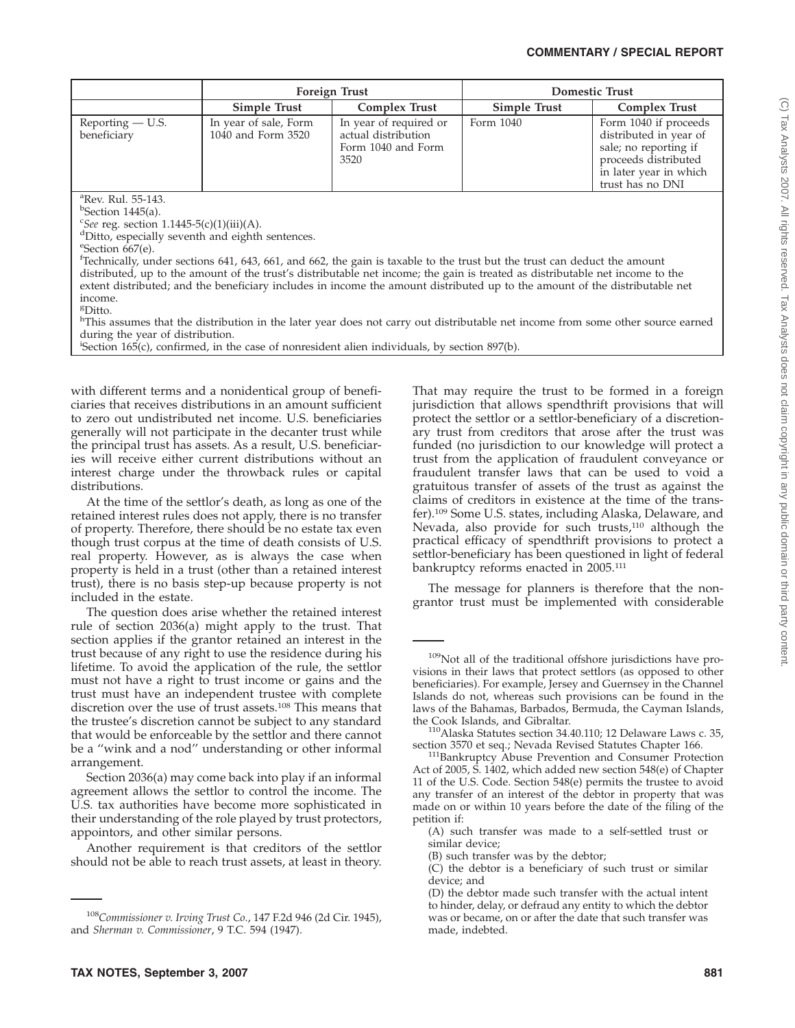|                                                                 | <b>Foreign Trust</b>                        |                                                                             | <b>Domestic Trust</b> |                                                                                                                                                |  |  |
|-----------------------------------------------------------------|---------------------------------------------|-----------------------------------------------------------------------------|-----------------------|------------------------------------------------------------------------------------------------------------------------------------------------|--|--|
|                                                                 | Simple Trust                                | <b>Complex Trust</b>                                                        | Simple Trust          | <b>Complex Trust</b>                                                                                                                           |  |  |
| $Reporting$ — U.S.<br>beneficiary                               | In year of sale, Form<br>1040 and Form 3520 | In year of required or<br>actual distribution<br>Form 1040 and Form<br>3520 | Form 1040             | Form 1040 if proceeds<br>distributed in year of<br>sale; no reporting if<br>proceeds distributed<br>in later year in which<br>trust has no DNI |  |  |
| <sup>a</sup> Rev. Rul. 55-143.<br><sup>b</sup> Section 1445(a). |                                             |                                                                             |                       |                                                                                                                                                |  |  |

<sup>c</sup>See reg. section  $1.1445-5(c)(1)(iii)(A)$ . Ditto, especially seventh and eighth sentences.

e Section 667(e).

<sup>f</sup>Technically, under sections 641, 643, 661, and 662, the gain is taxable to the trust but the trust can deduct the amount distributed, up to the amount of the trust's distributable net income; the gain is treated as distributable net income to the extent distributed; and the beneficiary includes in income the amount distributed up to the amount of the distributable net income. g Ditto.

<sup>h</sup>This assumes that the distribution in the later year does not carry out distributable net income from some other source earned during the year of distribution.

<sup>i</sup>Section 165(c), confirmed, in the case of nonresident alien individuals, by section 897(b).

with different terms and a nonidentical group of beneficiaries that receives distributions in an amount sufficient to zero out undistributed net income. U.S. beneficiaries generally will not participate in the decanter trust while the principal trust has assets. As a result, U.S. beneficiaries will receive either current distributions without an interest charge under the throwback rules or capital distributions.

At the time of the settlor's death, as long as one of the retained interest rules does not apply, there is no transfer of property. Therefore, there should be no estate tax even though trust corpus at the time of death consists of U.S. real property. However, as is always the case when property is held in a trust (other than a retained interest trust), there is no basis step-up because property is not included in the estate.

The question does arise whether the retained interest rule of section 2036(a) might apply to the trust. That section applies if the grantor retained an interest in the trust because of any right to use the residence during his lifetime. To avoid the application of the rule, the settlor must not have a right to trust income or gains and the trust must have an independent trustee with complete discretion over the use of trust assets.108 This means that the trustee's discretion cannot be subject to any standard that would be enforceable by the settlor and there cannot be a ''wink and a nod'' understanding or other informal arrangement.

Section 2036(a) may come back into play if an informal agreement allows the settlor to control the income. The U.S. tax authorities have become more sophisticated in their understanding of the role played by trust protectors, appointors, and other similar persons.

Another requirement is that creditors of the settlor should not be able to reach trust assets, at least in theory.

That may require the trust to be formed in a foreign jurisdiction that allows spendthrift provisions that will protect the settlor or a settlor-beneficiary of a discretionary trust from creditors that arose after the trust was funded (no jurisdiction to our knowledge will protect a trust from the application of fraudulent conveyance or fraudulent transfer laws that can be used to void a gratuitous transfer of assets of the trust as against the claims of creditors in existence at the time of the transfer).109 Some U.S. states, including Alaska, Delaware, and Nevada, also provide for such trusts,<sup>110</sup> although the practical efficacy of spendthrift provisions to protect a settlor-beneficiary has been questioned in light of federal bankruptcy reforms enacted in 2005.111

The message for planners is therefore that the nongrantor trust must be implemented with considerable

(A) such transfer was made to a self-settled trust or similar device;

(B) such transfer was by the debtor;

<sup>108</sup>*Commissioner v. Irving Trust Co.*, 147 F.2d 946 (2d Cir. 1945), and *Sherman v. Commissioner*, 9 T.C. 594 (1947).

<sup>109</sup>Not all of the traditional offshore jurisdictions have provisions in their laws that protect settlors (as opposed to other beneficiaries). For example, Jersey and Guernsey in the Channel Islands do not, whereas such provisions can be found in the laws of the Bahamas, Barbados, Bermuda, the Cayman Islands,

<sup>&</sup>lt;sup>110</sup>Alaska Statutes section 34.40.110; 12 Delaware Laws c. 35, section 3570 et seq.; Nevada Revised Statutes Chapter 166.

<sup>&</sup>lt;sup>111</sup> Bankruptcy Abuse Prevention and Consumer Protection Act of 2005, S. 1402, which added new section 548(e) of Chapter 11 of the U.S. Code. Section 548(e) permits the trustee to avoid any transfer of an interest of the debtor in property that was made on or within 10 years before the date of the filing of the petition if:

<sup>(</sup>C) the debtor is a beneficiary of such trust or similar device; and

<sup>(</sup>D) the debtor made such transfer with the actual intent to hinder, delay, or defraud any entity to which the debtor was or became, on or after the date that such transfer was made, indebted.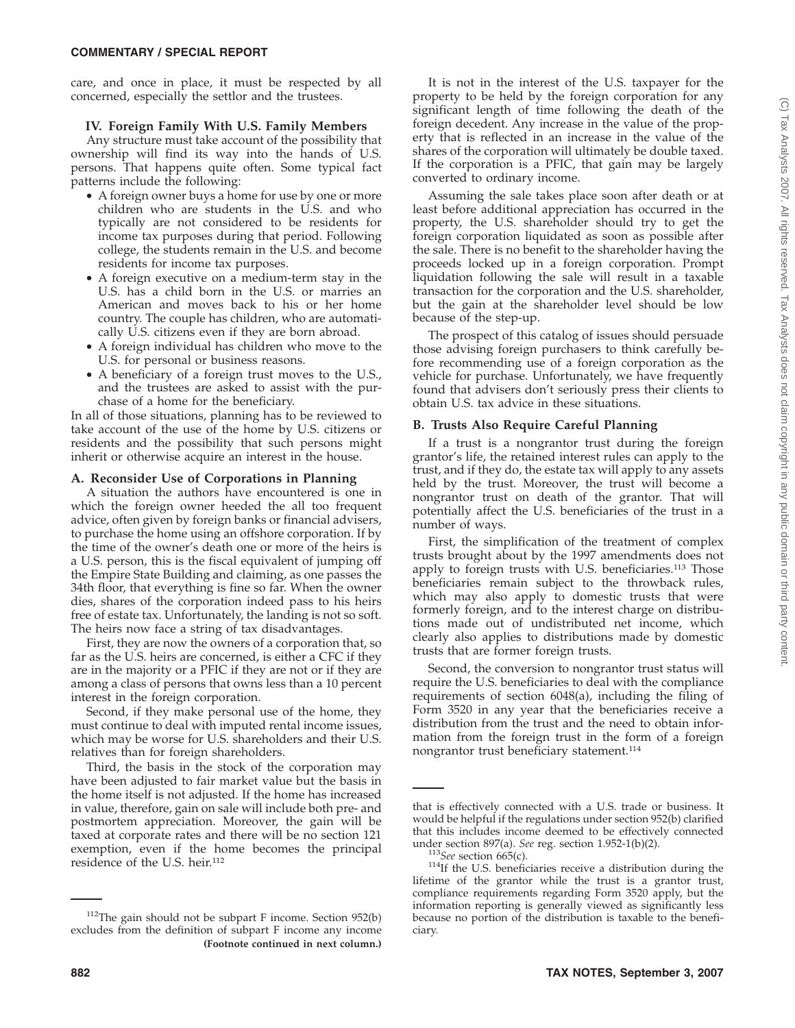care, and once in place, it must be respected by all concerned, especially the settlor and the trustees.

#### **IV. Foreign Family With U.S. Family Members**

Any structure must take account of the possibility that ownership will find its way into the hands of U.S. persons. That happens quite often. Some typical fact patterns include the following:

- A foreign owner buys a home for use by one or more children who are students in the U.S. and who typically are not considered to be residents for income tax purposes during that period. Following college, the students remain in the U.S. and become residents for income tax purposes.
- A foreign executive on a medium-term stay in the U.S. has a child born in the U.S. or marries an American and moves back to his or her home country. The couple has children, who are automatically U.S. citizens even if they are born abroad.
- A foreign individual has children who move to the U.S. for personal or business reasons.
- A beneficiary of a foreign trust moves to the U.S., and the trustees are asked to assist with the purchase of a home for the beneficiary.

In all of those situations, planning has to be reviewed to take account of the use of the home by U.S. citizens or residents and the possibility that such persons might inherit or otherwise acquire an interest in the house.

#### **A. Reconsider Use of Corporations in Planning**

A situation the authors have encountered is one in which the foreign owner heeded the all too frequent advice, often given by foreign banks or financial advisers, to purchase the home using an offshore corporation. If by the time of the owner's death one or more of the heirs is a U.S. person, this is the fiscal equivalent of jumping off the Empire State Building and claiming, as one passes the 34th floor, that everything is fine so far. When the owner dies, shares of the corporation indeed pass to his heirs free of estate tax. Unfortunately, the landing is not so soft. The heirs now face a string of tax disadvantages.

First, they are now the owners of a corporation that, so far as the U.S. heirs are concerned, is either a CFC if they are in the majority or a PFIC if they are not or if they are among a class of persons that owns less than a 10 percent interest in the foreign corporation.

Second, if they make personal use of the home, they must continue to deal with imputed rental income issues, which may be worse for U.S. shareholders and their U.S. relatives than for foreign shareholders.

Third, the basis in the stock of the corporation may have been adjusted to fair market value but the basis in the home itself is not adjusted. If the home has increased in value, therefore, gain on sale will include both pre- and postmortem appreciation. Moreover, the gain will be taxed at corporate rates and there will be no section 121 exemption, even if the home becomes the principal residence of the U.S. heir.112

It is not in the interest of the U.S. taxpayer for the property to be held by the foreign corporation for any significant length of time following the death of the foreign decedent. Any increase in the value of the property that is reflected in an increase in the value of the shares of the corporation will ultimately be double taxed. If the corporation is a PFIC, that gain may be largely converted to ordinary income.

Assuming the sale takes place soon after death or at least before additional appreciation has occurred in the property, the U.S. shareholder should try to get the foreign corporation liquidated as soon as possible after the sale. There is no benefit to the shareholder having the proceeds locked up in a foreign corporation. Prompt liquidation following the sale will result in a taxable transaction for the corporation and the U.S. shareholder, but the gain at the shareholder level should be low because of the step-up.

The prospect of this catalog of issues should persuade those advising foreign purchasers to think carefully before recommending use of a foreign corporation as the vehicle for purchase. Unfortunately, we have frequently found that advisers don't seriously press their clients to obtain U.S. tax advice in these situations.

#### **B. Trusts Also Require Careful Planning**

If a trust is a nongrantor trust during the foreign grantor's life, the retained interest rules can apply to the trust, and if they do, the estate tax will apply to any assets held by the trust. Moreover, the trust will become a nongrantor trust on death of the grantor. That will potentially affect the U.S. beneficiaries of the trust in a number of ways.

First, the simplification of the treatment of complex trusts brought about by the 1997 amendments does not apply to foreign trusts with U.S. beneficiaries.<sup>113</sup> Those beneficiaries remain subject to the throwback rules, which may also apply to domestic trusts that were formerly foreign, and to the interest charge on distributions made out of undistributed net income, which clearly also applies to distributions made by domestic trusts that are former foreign trusts.

Second, the conversion to nongrantor trust status will require the U.S. beneficiaries to deal with the compliance requirements of section 6048(a), including the filing of Form 3520 in any year that the beneficiaries receive a distribution from the trust and the need to obtain information from the foreign trust in the form of a foreign nongrantor trust beneficiary statement.114

<sup>112</sup>The gain should not be subpart F income. Section 952(b) excludes from the definition of subpart F income any income **(Footnote continued in next column.)**

that is effectively connected with a U.S. trade or business. It would be helpful if the regulations under section 952(b) clarified that this includes income deemed to be effectively connected under section  $897(a)$ . See reg. section  $1.952-1(b)(2)$ .

<sup>&</sup>lt;sup>113</sup>See section 665(c). <sup>Seee</sup> reg. Seeeive a distribution during the <sup>114</sup>If the U.S. beneficiaries receive a distribution during the lifetime of the grantor while the trust is a grantor trust, compliance requirements regarding Form 3520 apply, but the information reporting is generally viewed as significantly less because no portion of the distribution is taxable to the beneficiary.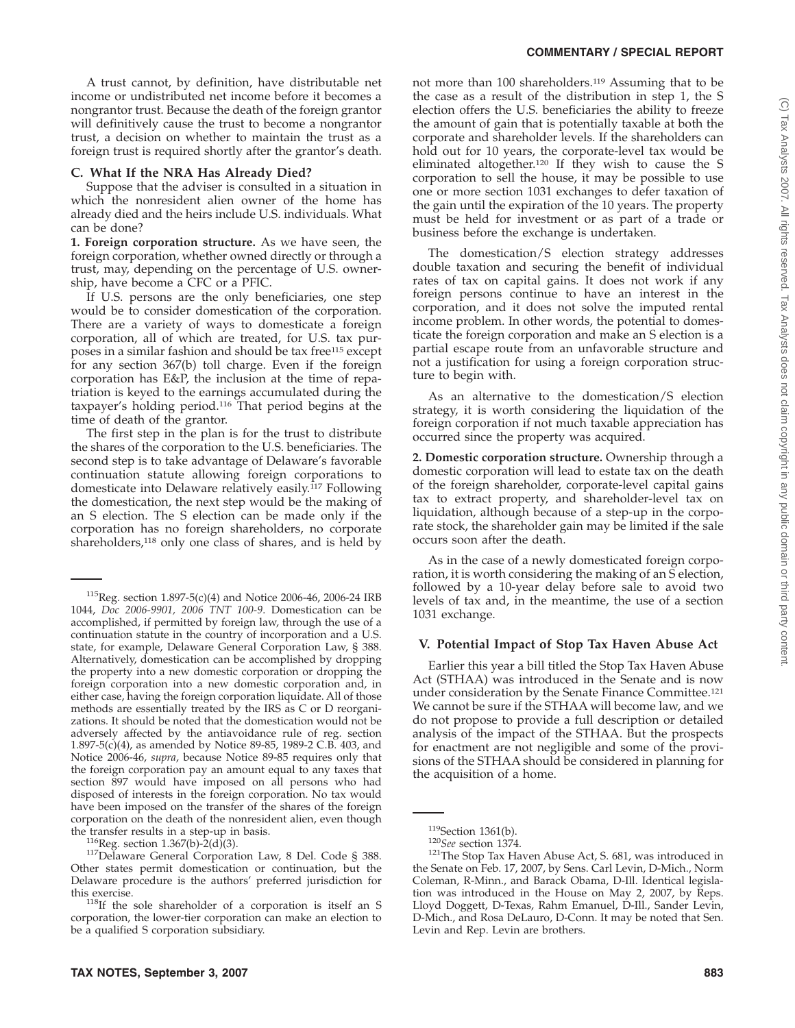A trust cannot, by definition, have distributable net income or undistributed net income before it becomes a nongrantor trust. Because the death of the foreign grantor will definitively cause the trust to become a nongrantor trust, a decision on whether to maintain the trust as a foreign trust is required shortly after the grantor's death.

#### **C. What If the NRA Has Already Died?**

Suppose that the adviser is consulted in a situation in which the nonresident alien owner of the home has already died and the heirs include U.S. individuals. What can be done?

**1. Foreign corporation structure.** As we have seen, the foreign corporation, whether owned directly or through a trust, may, depending on the percentage of U.S. ownership, have become a CFC or a PFIC.

If U.S. persons are the only beneficiaries, one step would be to consider domestication of the corporation. There are a variety of ways to domesticate a foreign corporation, all of which are treated, for U.S. tax purposes in a similar fashion and should be tax free115 except for any section 367(b) toll charge. Even if the foreign corporation has E&P, the inclusion at the time of repatriation is keyed to the earnings accumulated during the taxpayer's holding period.116 That period begins at the time of death of the grantor.

The first step in the plan is for the trust to distribute the shares of the corporation to the U.S. beneficiaries. The second step is to take advantage of Delaware's favorable continuation statute allowing foreign corporations to domesticate into Delaware relatively easily.<sup>117</sup> Following the domestication, the next step would be the making of an S election. The S election can be made only if the corporation has no foreign shareholders, no corporate shareholders,<sup>118</sup> only one class of shares, and is held by

not more than 100 shareholders.119 Assuming that to be the case as a result of the distribution in step 1, the S election offers the U.S. beneficiaries the ability to freeze the amount of gain that is potentially taxable at both the corporate and shareholder levels. If the shareholders can hold out for 10 years, the corporate-level tax would be eliminated altogether.120 If they wish to cause the S corporation to sell the house, it may be possible to use one or more section 1031 exchanges to defer taxation of the gain until the expiration of the 10 years. The property must be held for investment or as part of a trade or business before the exchange is undertaken.

The domestication/S election strategy addresses double taxation and securing the benefit of individual rates of tax on capital gains. It does not work if any foreign persons continue to have an interest in the corporation, and it does not solve the imputed rental income problem. In other words, the potential to domesticate the foreign corporation and make an S election is a partial escape route from an unfavorable structure and not a justification for using a foreign corporation structure to begin with.

As an alternative to the domestication/S election strategy, it is worth considering the liquidation of the foreign corporation if not much taxable appreciation has occurred since the property was acquired.

**2. Domestic corporation structure.** Ownership through a domestic corporation will lead to estate tax on the death of the foreign shareholder, corporate-level capital gains tax to extract property, and shareholder-level tax on liquidation, although because of a step-up in the corporate stock, the shareholder gain may be limited if the sale occurs soon after the death.

As in the case of a newly domesticated foreign corporation, it is worth considering the making of an S election, followed by a 10-year delay before sale to avoid two levels of tax and, in the meantime, the use of a section 1031 exchange.

#### **V. Potential Impact of Stop Tax Haven Abuse Act**

Earlier this year a bill titled the Stop Tax Haven Abuse Act (STHAA) was introduced in the Senate and is now under consideration by the Senate Finance Committee.<sup>121</sup> We cannot be sure if the STHAA will become law, and we do not propose to provide a full description or detailed analysis of the impact of the STHAA. But the prospects for enactment are not negligible and some of the provisions of the STHAA should be considered in planning for the acquisition of a home.

<sup>&</sup>lt;sup>115</sup>Reg. section 1.897-5(c)(4) and Notice 2006-46, 2006-24 IRB 1044, *Doc 2006-9901, 2006 TNT 100-9*. Domestication can be accomplished, if permitted by foreign law, through the use of a continuation statute in the country of incorporation and a U.S. state, for example, Delaware General Corporation Law, § 388. Alternatively, domestication can be accomplished by dropping the property into a new domestic corporation or dropping the foreign corporation into a new domestic corporation and, in either case, having the foreign corporation liquidate. All of those methods are essentially treated by the IRS as C or D reorganizations. It should be noted that the domestication would not be adversely affected by the antiavoidance rule of reg. section 1.897-5(c)(4), as amended by Notice 89-85, 1989-2 C.B. 403, and Notice 2006-46, *supra*, because Notice 89-85 requires only that the foreign corporation pay an amount equal to any taxes that section 897 would have imposed on all persons who had disposed of interests in the foreign corporation. No tax would have been imposed on the transfer of the shares of the foreign corporation on the death of the nonresident alien, even though

the transfer results in a step-up in basis.<br><sup>116</sup>Reg. section 1.367(b)-2(d)(3). <sup>117</sup>Delaware General Corporation Law, 8 Del. Code § 388. Other states permit domestication or continuation, but the Delaware procedure is the authors' preferred jurisdiction for

this exercise.<br><sup>118</sup>If the sole shareholder of a corporation is itself an S corporation, the lower-tier corporation can make an election to be a qualified S corporation subsidiary.

<sup>&</sup>lt;sup>119</sup>Section 1361(b).<br><sup>120</sup>*See* section 1374.<br><sup>121</sup>The Stop Tax Haven Abuse Act, S. 681, was introduced in the Senate on Feb. 17, 2007, by Sens. Carl Levin, D-Mich., Norm Coleman, R-Minn., and Barack Obama, D-Ill. Identical legislation was introduced in the House on May 2, 2007, by Reps. Lloyd Doggett, D-Texas, Rahm Emanuel, D-Ill., Sander Levin, D-Mich., and Rosa DeLauro, D-Conn. It may be noted that Sen. Levin and Rep. Levin are brothers.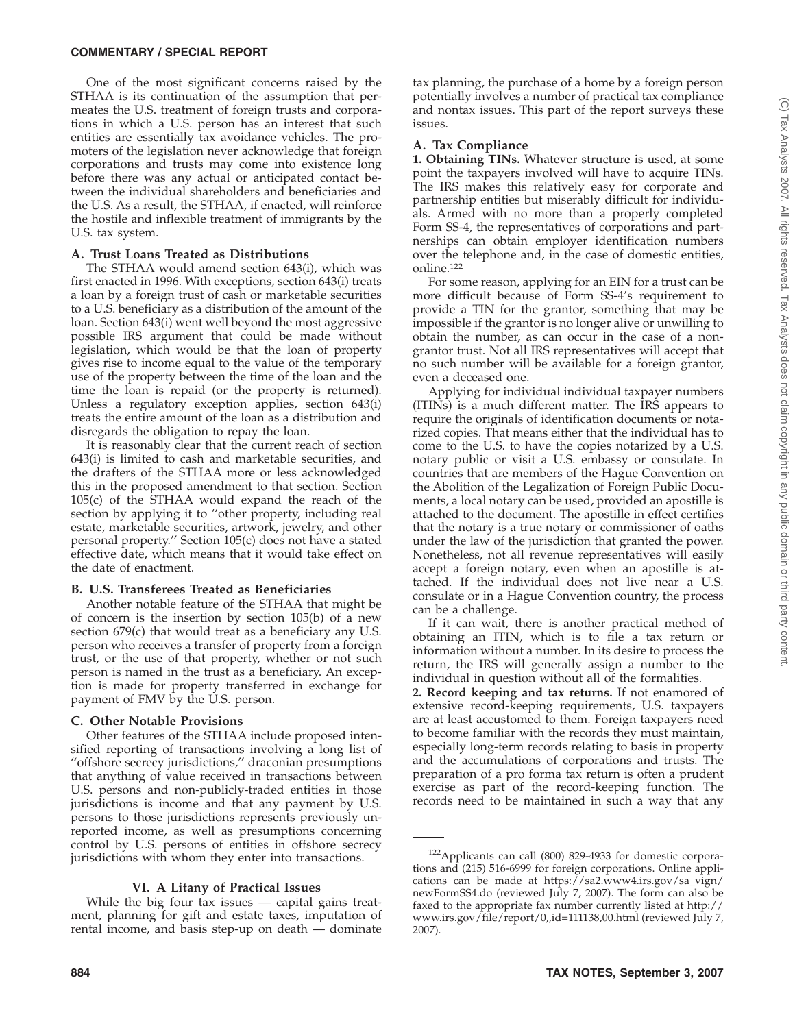One of the most significant concerns raised by the STHAA is its continuation of the assumption that permeates the U.S. treatment of foreign trusts and corporations in which a U.S. person has an interest that such entities are essentially tax avoidance vehicles. The promoters of the legislation never acknowledge that foreign corporations and trusts may come into existence long before there was any actual or anticipated contact between the individual shareholders and beneficiaries and the U.S. As a result, the STHAA, if enacted, will reinforce the hostile and inflexible treatment of immigrants by the U.S. tax system.

## **A. Trust Loans Treated as Distributions**

The STHAA would amend section 643(i), which was first enacted in 1996. With exceptions, section 643(i) treats a loan by a foreign trust of cash or marketable securities to a U.S. beneficiary as a distribution of the amount of the loan. Section 643(i) went well beyond the most aggressive possible IRS argument that could be made without legislation, which would be that the loan of property gives rise to income equal to the value of the temporary use of the property between the time of the loan and the time the loan is repaid (or the property is returned). Unless a regulatory exception applies, section 643(i) treats the entire amount of the loan as a distribution and disregards the obligation to repay the loan.

It is reasonably clear that the current reach of section 643(i) is limited to cash and marketable securities, and the drafters of the STHAA more or less acknowledged this in the proposed amendment to that section. Section 105(c) of the STHAA would expand the reach of the section by applying it to ''other property, including real estate, marketable securities, artwork, jewelry, and other personal property.'' Section 105(c) does not have a stated effective date, which means that it would take effect on the date of enactment.

## **B. U.S. Transferees Treated as Beneficiaries**

Another notable feature of the STHAA that might be of concern is the insertion by section 105(b) of a new section 679(c) that would treat as a beneficiary any U.S. person who receives a transfer of property from a foreign trust, or the use of that property, whether or not such person is named in the trust as a beneficiary. An exception is made for property transferred in exchange for payment of FMV by the U.S. person.

## **C. Other Notable Provisions**

Other features of the STHAA include proposed intensified reporting of transactions involving a long list of ''offshore secrecy jurisdictions,'' draconian presumptions that anything of value received in transactions between U.S. persons and non-publicly-traded entities in those jurisdictions is income and that any payment by U.S. persons to those jurisdictions represents previously unreported income, as well as presumptions concerning control by U.S. persons of entities in offshore secrecy jurisdictions with whom they enter into transactions.

## **VI. A Litany of Practical Issues**

While the big four tax issues  $-$  capital gains treatment, planning for gift and estate taxes, imputation of rental income, and basis step-up on death — dominate tax planning, the purchase of a home by a foreign person potentially involves a number of practical tax compliance and nontax issues. This part of the report surveys these issues.

## **A. Tax Compliance**

**1. Obtaining TINs.** Whatever structure is used, at some point the taxpayers involved will have to acquire TINs. The IRS makes this relatively easy for corporate and partnership entities but miserably difficult for individuals. Armed with no more than a properly completed Form SS-4, the representatives of corporations and partnerships can obtain employer identification numbers over the telephone and, in the case of domestic entities, online.122

For some reason, applying for an EIN for a trust can be more difficult because of Form SS-4's requirement to provide a TIN for the grantor, something that may be impossible if the grantor is no longer alive or unwilling to obtain the number, as can occur in the case of a nongrantor trust. Not all IRS representatives will accept that no such number will be available for a foreign grantor, even a deceased one.

Applying for individual individual taxpayer numbers (ITINs) is a much different matter. The IRS appears to require the originals of identification documents or notarized copies. That means either that the individual has to come to the U.S. to have the copies notarized by a U.S. notary public or visit a U.S. embassy or consulate. In countries that are members of the Hague Convention on the Abolition of the Legalization of Foreign Public Documents, a local notary can be used, provided an apostille is attached to the document. The apostille in effect certifies that the notary is a true notary or commissioner of oaths under the law of the jurisdiction that granted the power. Nonetheless, not all revenue representatives will easily accept a foreign notary, even when an apostille is attached. If the individual does not live near a U.S. consulate or in a Hague Convention country, the process can be a challenge.

If it can wait, there is another practical method of obtaining an ITIN, which is to file a tax return or information without a number. In its desire to process the return, the IRS will generally assign a number to the individual in question without all of the formalities.

**2. Record keeping and tax returns.** If not enamored of extensive record-keeping requirements, U.S. taxpayers are at least accustomed to them. Foreign taxpayers need to become familiar with the records they must maintain, especially long-term records relating to basis in property and the accumulations of corporations and trusts. The preparation of a pro forma tax return is often a prudent exercise as part of the record-keeping function. The records need to be maintained in such a way that any

<sup>&</sup>lt;sup>122</sup>Applicants can call (800) 829-4933 for domestic corporations and (215) 516-6999 for foreign corporations. Online applications can be made at https://sa2.www4.irs.gov/sa\_vign/ newFormSS4.do (reviewed July 7, 2007). The form can also be faxed to the appropriate fax number currently listed at http:// www.irs.gov/file/report/0,,id=111138,00.html (reviewed July 7, 2007).